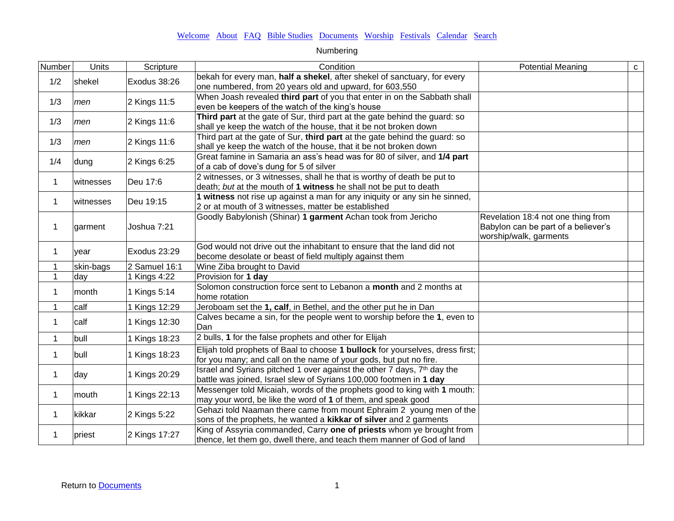| Number       | <b>Units</b> | Scripture     | Condition                                                                                                                                                 | <b>Potential Meaning</b>                                                                            | $\mathbf{C}$ |
|--------------|--------------|---------------|-----------------------------------------------------------------------------------------------------------------------------------------------------------|-----------------------------------------------------------------------------------------------------|--------------|
| 1/2          | shekel       | Exodus 38:26  | bekah for every man, half a shekel, after shekel of sanctuary, for every<br>one numbered, from 20 years old and upward, for 603,550                       |                                                                                                     |              |
| 1/3          | men          | 2 Kings 11:5  | When Joash revealed third part of you that enter in on the Sabbath shall<br>even be keepers of the watch of the king's house                              |                                                                                                     |              |
| 1/3          | men          | 2 Kings 11:6  | Third part at the gate of Sur, third part at the gate behind the guard: so<br>shall ye keep the watch of the house, that it be not broken down            |                                                                                                     |              |
| 1/3          | men          | 2 Kings 11:6  | Third part at the gate of Sur, third part at the gate behind the guard: so<br>shall ye keep the watch of the house, that it be not broken down            |                                                                                                     |              |
| 1/4          | dung         | 2 Kings 6:25  | Great famine in Samaria an ass's head was for 80 of silver, and 1/4 part<br>of a cab of dove's dung for 5 of silver                                       |                                                                                                     |              |
| 1            | witnesses    | Deu 17:6      | 2 witnesses, or 3 witnesses, shall he that is worthy of death be put to<br>death; but at the mouth of 1 witness he shall not be put to death              |                                                                                                     |              |
| 1            | witnesses    | Deu 19:15     | 1 witness not rise up against a man for any iniquity or any sin he sinned,<br>2 or at mouth of 3 witnesses, matter be established                         |                                                                                                     |              |
| 1            | garment      | Joshua 7:21   | Goodly Babylonish (Shinar) 1 garment Achan took from Jericho                                                                                              | Revelation 18:4 not one thing from<br>Babylon can be part of a believer's<br>worship/walk, garments |              |
| 1            | year         | Exodus 23:29  | God would not drive out the inhabitant to ensure that the land did not<br>become desolate or beast of field multiply against them                         |                                                                                                     |              |
| 1            | skin-bags    | 2 Samuel 16:1 | Wine Ziba brought to David                                                                                                                                |                                                                                                     |              |
| $\mathbf{1}$ | day          | 1 Kings 4:22  | Provision for 1 day                                                                                                                                       |                                                                                                     |              |
| 1            | month        | 1 Kings 5:14  | Solomon construction force sent to Lebanon a month and 2 months at<br>home rotation                                                                       |                                                                                                     |              |
| 1            | calf         | 1 Kings 12:29 | Jeroboam set the 1, calf, in Bethel, and the other put he in Dan                                                                                          |                                                                                                     |              |
| 1            | calf         | 1 Kings 12:30 | Calves became a sin, for the people went to worship before the 1, even to<br>Dan                                                                          |                                                                                                     |              |
| 1            | bull         | 1 Kings 18:23 | 2 bulls, 1 for the false prophets and other for Elijah                                                                                                    |                                                                                                     |              |
| 1            | bull         | 1 Kings 18:23 | Elijah told prophets of Baal to choose 1 bullock for yourselves, dress first;<br>for you many; and call on the name of your gods, but put no fire.        |                                                                                                     |              |
| 1            | day          | 1 Kings 20:29 | Israel and Syrians pitched 1 over against the other 7 days, 7 <sup>th</sup> day the<br>battle was joined, Israel slew of Syrians 100,000 footmen in 1 day |                                                                                                     |              |
| 1            | mouth        | 1 Kings 22:13 | Messenger told Micaiah, words of the prophets good to king with 1 mouth:<br>may your word, be like the word of 1 of them, and speak good                  |                                                                                                     |              |
| 1            | kikkar       | 2 Kings 5:22  | Gehazi told Naaman there came from mount Ephraim 2 young men of the<br>sons of the prophets, he wanted a kikkar of silver and 2 garments                  |                                                                                                     |              |
| 1            | priest       | 2 Kings 17:27 | King of Assyria commanded, Carry one of priests whom ye brought from<br>thence, let them go, dwell there, and teach them manner of God of land            |                                                                                                     |              |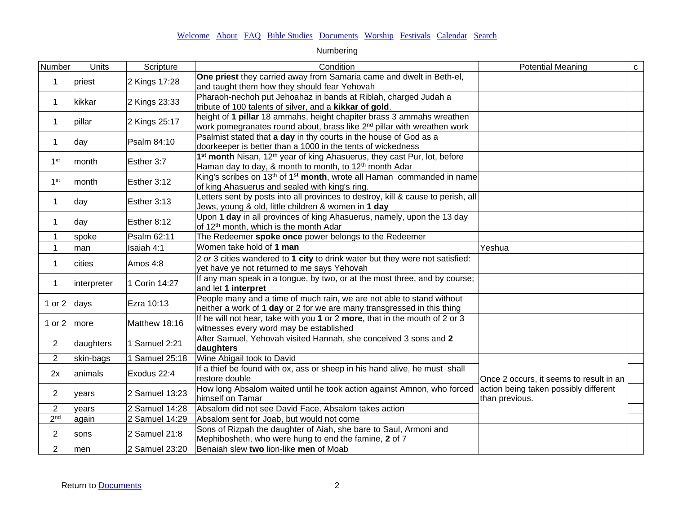| Number          | Units       | Scripture               | Condition                                                                                                                                                              | <b>Potential Meaning</b>                                | $\mathbf{C}$ |
|-----------------|-------------|-------------------------|------------------------------------------------------------------------------------------------------------------------------------------------------------------------|---------------------------------------------------------|--------------|
| 1               | priest      | 2 Kings 17:28           | One priest they carried away from Samaria came and dwelt in Beth-el,<br>and taught them how they should fear Yehovah                                                   |                                                         |              |
| 1               | kikkar      | 2 Kings 23:33           | Pharaoh-nechoh put Jehoahaz in bands at Riblah, charged Judah a<br>tribute of 100 talents of silver, and a kikkar of gold.                                             |                                                         |              |
| $\mathbf 1$     | pillar      | 2 Kings 25:17           | height of 1 pillar 18 ammahs, height chapiter brass 3 ammahs wreathen<br>work pomegranates round about, brass like 2 <sup>nd</sup> pillar with wreathen work           |                                                         |              |
| 1               | day         | Psalm 84:10             | Psalmist stated that a day in thy courts in the house of God as a<br>doorkeeper is better than a 1000 in the tents of wickedness                                       |                                                         |              |
| 1 <sup>st</sup> | month       | Esther 3:7              | 1 <sup>st</sup> month Nisan, 12 <sup>th</sup> year of king Ahasuerus, they cast Pur, lot, before<br>Haman day to day, & month to month, to 12 <sup>th</sup> month Adar |                                                         |              |
| 1 <sup>st</sup> | month       | Esther 3:12             | King's scribes on 13 <sup>th</sup> of 1 <sup>st</sup> month, wrote all Haman commanded in name<br>of king Ahasuerus and sealed with king's ring.                       |                                                         |              |
| $\mathbf{1}$    | day         | Esther 3:13             | Letters sent by posts into all provinces to destroy, kill & cause to perish, all<br>Jews, young & old, little children & women in 1 day                                |                                                         |              |
| 1               | day         | Esther 8:12             | Upon 1 day in all provinces of king Ahasuerus, namely, upon the 13 day<br>of 12 <sup>th</sup> month, which is the month Adar                                           |                                                         |              |
| 1               | spoke       | Psalm 62:11             | The Redeemer spoke once power belongs to the Redeemer                                                                                                                  |                                                         |              |
| 1               | man         | Isaiah 4:1              | Women take hold of 1 man                                                                                                                                               | Yeshua                                                  |              |
| 1               | cities      | Amos 4:8                | 2 or 3 cities wandered to 1 city to drink water but they were not satisfied:<br>yet have ye not returned to me says Yehovah                                            |                                                         |              |
| 1               | interpreter | 1 Corin 14:27           | If any man speak in a tongue, by two, or at the most three, and by course;<br>and let 1 interpret                                                                      |                                                         |              |
| 1 or 2          | days        | Ezra 10:13              | People many and a time of much rain, we are not able to stand without<br>neither a work of 1 day or 2 for we are many transgressed in this thing                       |                                                         |              |
| 1 or 2          | more        | Matthew 18:16           | If he will not hear, take with you 1 or 2 more, that in the mouth of 2 or 3<br>witnesses every word may be established                                                 |                                                         |              |
| $\overline{2}$  | daughters   | 1 Samuel 2:21           | After Samuel, Yehovah visited Hannah, she conceived 3 sons and 2<br>daughters                                                                                          |                                                         |              |
| $\overline{2}$  | skin-bags   | 1 Samuel 25:18          | Wine Abigail took to David                                                                                                                                             |                                                         |              |
| 2x              | animals     | Exodus 22:4             | If a thief be found with ox, ass or sheep in his hand alive, he must shall<br>restore double                                                                           | Once 2 occurs, it seems to result in an                 |              |
| $\overline{2}$  | years       | 2 Samuel 13:23          | How long Absalom waited until he took action against Amnon, who forced<br>himself on Tamar                                                                             | action being taken possibly different<br>than previous. |              |
| $\overline{2}$  | years       | 2 Samuel 14:28          | Absalom did not see David Face, Absalom takes action                                                                                                                   |                                                         |              |
| 2 <sup>nd</sup> | again       | $\sqrt{2}$ Samuel 14:29 | Absalom sent for Joab, but would not come                                                                                                                              |                                                         |              |
| $\overline{c}$  | sons        | 2 Samuel 21:8           | Sons of Rizpah the daughter of Aiah, she bare to Saul, Armoni and<br>Mephibosheth, who were hung to end the famine, 2 of 7                                             |                                                         |              |
| $\overline{2}$  | men         | 2 Samuel 23:20          | Benaiah slew two lion-like men of Moab                                                                                                                                 |                                                         |              |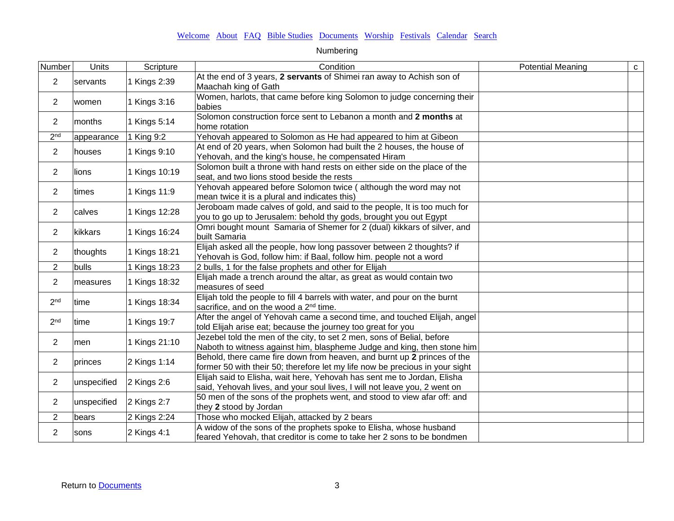| Number          | Units       | Scripture     | Condition                                                                                                                                               | <b>Potential Meaning</b> | $\mathtt{C}$ |
|-----------------|-------------|---------------|---------------------------------------------------------------------------------------------------------------------------------------------------------|--------------------------|--------------|
| 2               | servants    | 1 Kings 2:39  | At the end of 3 years, 2 servants of Shimei ran away to Achish son of<br>Maachah king of Gath                                                           |                          |              |
| $\overline{2}$  | women       | 1 Kings 3:16  | Women, harlots, that came before king Solomon to judge concerning their<br>babies                                                                       |                          |              |
| $\overline{2}$  | months      | 1 Kings 5:14  | Solomon construction force sent to Lebanon a month and 2 months at<br>home rotation                                                                     |                          |              |
| 2 <sup>nd</sup> | appearance  | 1 King 9:2    | Yehovah appeared to Solomon as He had appeared to him at Gibeon                                                                                         |                          |              |
| $\overline{2}$  | houses      | 1 Kings 9:10  | At end of 20 years, when Solomon had built the 2 houses, the house of<br>Yehovah, and the king's house, he compensated Hiram                            |                          |              |
| $\overline{2}$  | lions       | 1 Kings 10:19 | Solomon built a throne with hand rests on either side on the place of the<br>seat, and two lions stood beside the rests                                 |                          |              |
| $\overline{2}$  | times       | 1 Kings 11:9  | Yehovah appeared before Solomon twice (although the word may not<br>mean twice it is a plural and indicates this)                                       |                          |              |
| $\overline{c}$  | calves      | 1 Kings 12:28 | Jeroboam made calves of gold, and said to the people, It is too much for<br>you to go up to Jerusalem: behold thy gods, brought you out Egypt           |                          |              |
| $\overline{c}$  | kikkars     | 1 Kings 16:24 | Omri bought mount Samaria of Shemer for 2 (dual) kikkars of silver, and<br>built Samaria                                                                |                          |              |
| $\overline{2}$  | thoughts    | 1 Kings 18:21 | Elijah asked all the people, how long passover between 2 thoughts? if<br>Yehovah is God, follow him: if Baal, follow him. people not a word             |                          |              |
| $\overline{2}$  | bulls       | 1 Kings 18:23 | 2 bulls, 1 for the false prophets and other for Elijah                                                                                                  |                          |              |
| $\overline{2}$  | measures    | 1 Kings 18:32 | Elijah made a trench around the altar, as great as would contain two<br>measures of seed                                                                |                          |              |
| 2 <sub>nd</sub> | time        | 1 Kings 18:34 | Elijah told the people to fill 4 barrels with water, and pour on the burnt<br>sacrifice, and on the wood a 2 <sup>nd</sup> time.                        |                          |              |
| 2 <sub>nd</sub> | time        | 1 Kings 19:7  | After the angel of Yehovah came a second time, and touched Elijah, angel<br>told Elijah arise eat; because the journey too great for you                |                          |              |
| $\overline{c}$  | men         | 1 Kings 21:10 | Jezebel told the men of the city, to set 2 men, sons of Belial, before<br>Naboth to witness against him, blaspheme Judge and king, then stone him       |                          |              |
| $\overline{2}$  | princes     | 2 Kings 1:14  | Behold, there came fire down from heaven, and burnt up 2 princes of the<br>former 50 with their 50; therefore let my life now be precious in your sight |                          |              |
| $\overline{2}$  | unspecified | 2 Kings 2:6   | Elijah said to Elisha, wait here, Yehovah has sent me to Jordan, Elisha<br>said, Yehovah lives, and your soul lives, I will not leave you, 2 went on    |                          |              |
| $\overline{2}$  | unspecified | 2 Kings 2:7   | 50 men of the sons of the prophets went, and stood to view afar off: and<br>they 2 stood by Jordan                                                      |                          |              |
| $\overline{2}$  | bears       | 2 Kings 2:24  | Those who mocked Elijah, attacked by 2 bears                                                                                                            |                          |              |
| $\overline{2}$  | sons        | 2 Kings 4:1   | A widow of the sons of the prophets spoke to Elisha, whose husband<br>feared Yehovah, that creditor is come to take her 2 sons to be bondmen            |                          |              |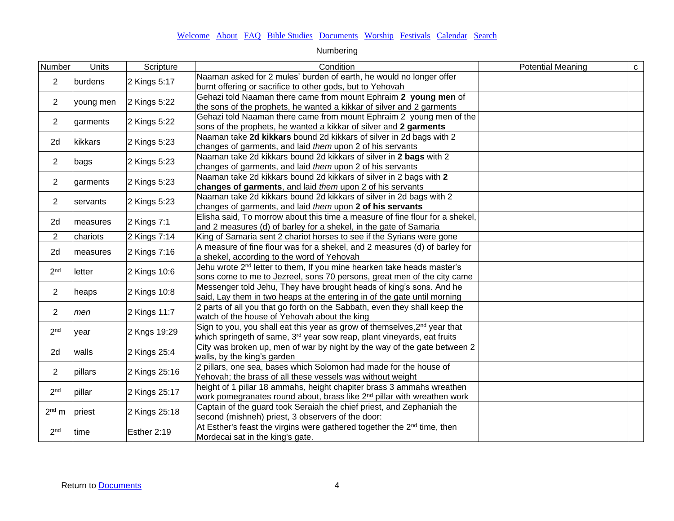| Number          | Units     | Scripture     | Condition                                                                                                                                                                    | <b>Potential Meaning</b> | ${\bf C}$ |
|-----------------|-----------|---------------|------------------------------------------------------------------------------------------------------------------------------------------------------------------------------|--------------------------|-----------|
| $\overline{2}$  | burdens   | 2 Kings 5:17  | Naaman asked for 2 mules' burden of earth, he would no longer offer<br>burnt offering or sacrifice to other gods, but to Yehovah                                             |                          |           |
| $\overline{2}$  | young men | 2 Kings 5:22  | Gehazi told Naaman there came from mount Ephraim 2 young men of<br>the sons of the prophets, he wanted a kikkar of silver and 2 garments                                     |                          |           |
| $\overline{2}$  | garments  | 2 Kings 5:22  | Gehazi told Naaman there came from mount Ephraim 2 young men of the<br>sons of the prophets, he wanted a kikkar of silver and 2 garments                                     |                          |           |
| 2d              | kikkars   | 2 Kings 5:23  | Naaman take 2d kikkars bound 2d kikkars of silver in 2d bags with 2<br>changes of garments, and laid them upon 2 of his servants                                             |                          |           |
| $\overline{2}$  | bags      | 2 Kings 5:23  | Naaman take 2d kikkars bound 2d kikkars of silver in 2 bags with 2<br>changes of garments, and laid them upon 2 of his servants                                              |                          |           |
| $\overline{2}$  | garments  | 2 Kings 5:23  | Naaman take 2d kikkars bound 2d kikkars of silver in 2 bags with 2<br>changes of garments, and laid them upon 2 of his servants                                              |                          |           |
| $\overline{2}$  | servants  | 2 Kings 5:23  | Naaman take 2d kikkars bound 2d kikkars of silver in 2d bags with 2<br>changes of garments, and laid them upon 2 of his servants                                             |                          |           |
| 2d              | measures  | 2 Kings 7:1   | Elisha said, To morrow about this time a measure of fine flour for a shekel,<br>and 2 measures (d) of barley for a shekel, in the gate of Samaria                            |                          |           |
| $\overline{2}$  | chariots  | 2 Kings 7:14  | King of Samaria sent 2 chariot horses to see if the Syrians were gone                                                                                                        |                          |           |
| 2d              | measures  | 2 Kings 7:16  | A measure of fine flour was for a shekel, and 2 measures (d) of barley for<br>a shekel, according to the word of Yehovah                                                     |                          |           |
| 2 <sub>nd</sub> | letter    | 2 Kings 10:6  | Jehu wrote 2 <sup>nd</sup> letter to them, If you mine hearken take heads master's<br>sons come to me to Jezreel, sons 70 persons, great men of the city came                |                          |           |
| $\overline{2}$  | heaps     | 2 Kings 10:8  | Messenger told Jehu, They have brought heads of king's sons. And he<br>said, Lay them in two heaps at the entering in of the gate until morning                              |                          |           |
| $\overline{2}$  | men       | 2 Kings 11:7  | 2 parts of all you that go forth on the Sabbath, even they shall keep the<br>watch of the house of Yehovah about the king                                                    |                          |           |
| 2 <sub>nd</sub> | year      | 2 Kngs 19:29  | Sign to you, you shall eat this year as grow of themselves, 2 <sup>nd</sup> year that<br>which springeth of same, 3 <sup>rd</sup> year sow reap, plant vineyards, eat fruits |                          |           |
| 2d              | walls     | 2 Kings 25:4  | City was broken up, men of war by night by the way of the gate between 2<br>walls, by the king's garden                                                                      |                          |           |
| $\overline{c}$  | pillars   | 2 Kings 25:16 | 2 pillars, one sea, bases which Solomon had made for the house of<br>Yehovah; the brass of all these vessels was without weight                                              |                          |           |
| 2 <sup>nd</sup> | pillar    | 2 Kings 25:17 | height of 1 pillar 18 ammahs, height chapiter brass 3 ammahs wreathen<br>work pomegranates round about, brass like 2 <sup>nd</sup> pillar with wreathen work                 |                          |           |
| $2nd$ m         | priest    | 2 Kings 25:18 | Captain of the guard took Seraiah the chief priest, and Zephaniah the<br>second (mishneh) priest, 3 observers of the door:                                                   |                          |           |
| 2 <sub>nd</sub> | time      | Esther 2:19   | At Esther's feast the virgins were gathered together the 2 <sup>nd</sup> time, then<br>Mordecai sat in the king's gate.                                                      |                          |           |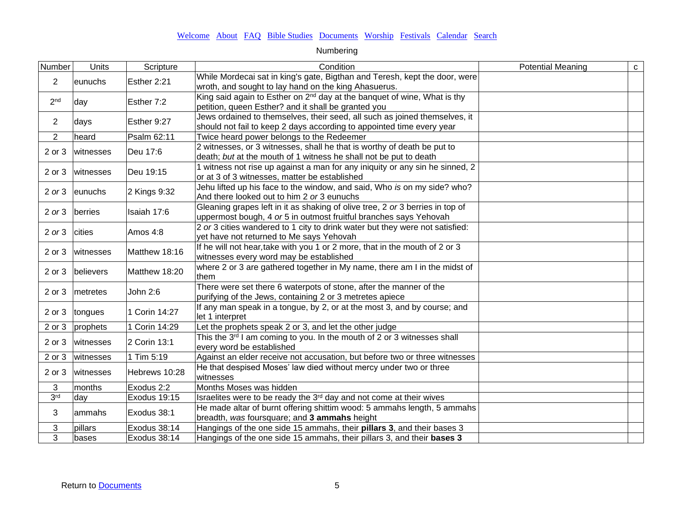| Number          | Units          | Scripture     | Condition                                                                                                                                    | <b>Potential Meaning</b> | ${\bf c}$ |
|-----------------|----------------|---------------|----------------------------------------------------------------------------------------------------------------------------------------------|--------------------------|-----------|
| $\overline{2}$  | eunuchs        | Esther 2:21   | While Mordecai sat in king's gate, Bigthan and Teresh, kept the door, were                                                                   |                          |           |
|                 |                |               | wroth, and sought to lay hand on the king Ahasuerus.<br>King said again to Esther on 2 <sup>nd</sup> day at the banquet of wine, What is thy |                          |           |
| 2 <sub>nd</sub> | day            | Esther 7:2    | petition, queen Esther? and it shall be granted you                                                                                          |                          |           |
|                 |                |               | Jews ordained to themselves, their seed, all such as joined themselves, it                                                                   |                          |           |
| $\overline{2}$  | days           | Esther 9:27   | should not fail to keep 2 days according to appointed time every year                                                                        |                          |           |
| $\overline{2}$  | heard          | Psalm 62:11   | Twice heard power belongs to the Redeemer                                                                                                    |                          |           |
| 2 or 3          | witnesses      | Deu 17:6      | 2 witnesses, or 3 witnesses, shall he that is worthy of death be put to                                                                      |                          |           |
|                 |                |               | death; but at the mouth of 1 witness he shall not be put to death                                                                            |                          |           |
| 2 or 3          | witnesses      | Deu 19:15     | 1 witness not rise up against a man for any iniquity or any sin he sinned, 2                                                                 |                          |           |
|                 |                |               | or at 3 of 3 witnesses, matter be established                                                                                                |                          |           |
|                 | 2 or 3 eunuchs | 2 Kings 9:32  | Jehu lifted up his face to the window, and said, Who is on my side? who?                                                                     |                          |           |
|                 |                |               | And there looked out to him 2 or 3 eunuchs                                                                                                   |                          |           |
|                 | 2 or 3 berries | Isaiah 17:6   | Gleaning grapes left in it as shaking of olive tree, 2 or 3 berries in top of                                                                |                          |           |
|                 |                |               | uppermost bough, 4 or 5 in outmost fruitful branches says Yehovah                                                                            |                          |           |
| $2$ or $3$      | cities         | Amos 4:8      | 2 or 3 cities wandered to 1 city to drink water but they were not satisfied:                                                                 |                          |           |
|                 |                |               | yet have not returned to Me says Yehovah                                                                                                     |                          |           |
| 2 or 3          | witnesses      | Matthew 18:16 | If he will not hear, take with you 1 or 2 more, that in the mouth of 2 or 3<br>witnesses every word may be established                       |                          |           |
|                 |                |               | where 2 or 3 are gathered together in My name, there am I in the midst of                                                                    |                          |           |
| 2 or 3          | believers      | Matthew 18:20 | them                                                                                                                                         |                          |           |
|                 |                |               | There were set there 6 waterpots of stone, after the manner of the                                                                           |                          |           |
| 2 or 3          | metretes       | John 2:6      | purifying of the Jews, containing 2 or 3 metretes apiece                                                                                     |                          |           |
|                 |                |               | If any man speak in a tongue, by 2, or at the most 3, and by course; and                                                                     |                          |           |
| 2 or 3          | tongues        | 1 Corin 14:27 | let 1 interpret                                                                                                                              |                          |           |
| 2 or 3          | prophets       | 1 Corin 14:29 | Let the prophets speak 2 or 3, and let the other judge                                                                                       |                          |           |
| 2 or 3          | witnesses      | 2 Corin 13:1  | This the 3 <sup>rd</sup> I am coming to you. In the mouth of 2 or 3 witnesses shall                                                          |                          |           |
|                 |                |               | every word be established                                                                                                                    |                          |           |
| 2 or 3          | witnesses      | 1 Tim 5:19    | Against an elder receive not accusation, but before two or three witnesses                                                                   |                          |           |
| 2 or 3          | witnesses      | Hebrews 10:28 | He that despised Moses' law died without mercy under two or three                                                                            |                          |           |
|                 |                |               | witnesses                                                                                                                                    |                          |           |
| 3               | months         | Exodus 2:2    | Months Moses was hidden                                                                                                                      |                          |           |
| 3 <sup>rd</sup> | day            | Exodus 19:15  | Israelites were to be ready the 3rd day and not come at their wives                                                                          |                          |           |
| 3               | ammahs         | Exodus 38:1   | He made altar of burnt offering shittim wood: 5 ammahs length, 5 ammahs                                                                      |                          |           |
|                 |                |               | breadth, was foursquare; and 3 ammahs height                                                                                                 |                          |           |
| 3               | pillars        | Exodus 38:14  | Hangings of the one side 15 ammahs, their <b>pillars 3</b> , and their bases 3                                                               |                          |           |
| 3               | bases          | Exodus 38:14  | Hangings of the one side 15 ammahs, their pillars 3, and their <b>bases 3</b>                                                                |                          |           |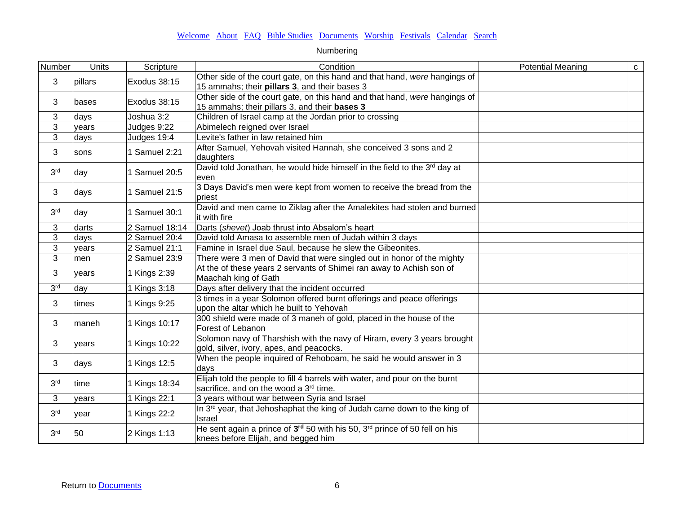| Number          | Units   | Scripture      | Condition                                                                                                                                 | <b>Potential Meaning</b> | $\mathtt{C}$ |
|-----------------|---------|----------------|-------------------------------------------------------------------------------------------------------------------------------------------|--------------------------|--------------|
| 3               | pillars | Exodus 38:15   | Other side of the court gate, on this hand and that hand, were hangings of<br>15 ammahs; their pillars 3, and their bases 3               |                          |              |
| 3               | bases   | Exodus 38:15   | Other side of the court gate, on this hand and that hand, were hangings of<br>15 ammahs; their pillars 3, and their bases 3               |                          |              |
| 3               | days    | Joshua 3:2     | Children of Israel camp at the Jordan prior to crossing                                                                                   |                          |              |
| 3               | years   | Judges 9:22    | Abimelech reigned over Israel                                                                                                             |                          |              |
| 3               | days    | Judges 19:4    | Levite's father in law retained him                                                                                                       |                          |              |
| 3               | sons    | 1 Samuel 2:21  | After Samuel, Yehovah visited Hannah, she conceived 3 sons and 2<br>daughters                                                             |                          |              |
| 3 <sup>rd</sup> | day     | 1 Samuel 20:5  | David told Jonathan, he would hide himself in the field to the 3rd day at<br>even                                                         |                          |              |
| 3               | days    | 1 Samuel 21:5  | 3 Days David's men were kept from women to receive the bread from the<br>priest                                                           |                          |              |
| 3 <sup>rd</sup> | day     | 1 Samuel 30:1  | David and men came to Ziklag after the Amalekites had stolen and burned<br>it with fire                                                   |                          |              |
| 3               | darts   | 2 Samuel 18:14 | Darts (shevet) Joab thrust into Absalom's heart                                                                                           |                          |              |
| 3               | days    | 2 Samuel 20:4  | David told Amasa to assemble men of Judah within 3 days                                                                                   |                          |              |
| 3               | years   | 2 Samuel 21:1  | Famine in Israel due Saul, because he slew the Gibeonites.                                                                                |                          |              |
| 3               | men     | 2 Samuel 23:9  | There were 3 men of David that were singled out in honor of the mighty                                                                    |                          |              |
| 3               | years   | 1 Kings 2:39   | At the of these years 2 servants of Shimei ran away to Achish son of<br>Maachah king of Gath                                              |                          |              |
| 3 <sup>rd</sup> | day     | 1 Kings 3:18   | Days after delivery that the incident occurred                                                                                            |                          |              |
| 3               | times   | 1 Kings 9:25   | 3 times in a year Solomon offered burnt offerings and peace offerings<br>upon the altar which he built to Yehovah                         |                          |              |
| 3               | Imaneh  | 1 Kings 10:17  | 300 shield were made of 3 maneh of gold, placed in the house of the<br>Forest of Lebanon                                                  |                          |              |
| 3               | years   | 1 Kings 10:22  | Solomon navy of Tharshish with the navy of Hiram, every 3 years brought<br>gold, silver, ivory, apes, and peacocks.                       |                          |              |
| 3               | days    | 1 Kings 12:5   | When the people inquired of Rehoboam, he said he would answer in 3<br>days                                                                |                          |              |
| 3 <sup>rd</sup> | time    | 1 Kings 18:34  | Elijah told the people to fill 4 barrels with water, and pour on the burnt<br>sacrifice, and on the wood a 3rd time.                      |                          |              |
| 3               | years   | 1 Kings 22:1   | 3 years without war between Syria and Israel                                                                                              |                          |              |
| 3 <sup>rd</sup> | vear    | 1 Kings 22:2   | In 3 <sup>rd</sup> year, that Jehoshaphat the king of Judah came down to the king of<br>Israel                                            |                          |              |
| 3 <sup>rd</sup> | 50      | 2 Kings 1:13   | He sent again a prince of 3 <sup>rd</sup> 50 with his 50, 3 <sup>rd</sup> prince of 50 fell on his<br>knees before Elijah, and begged him |                          |              |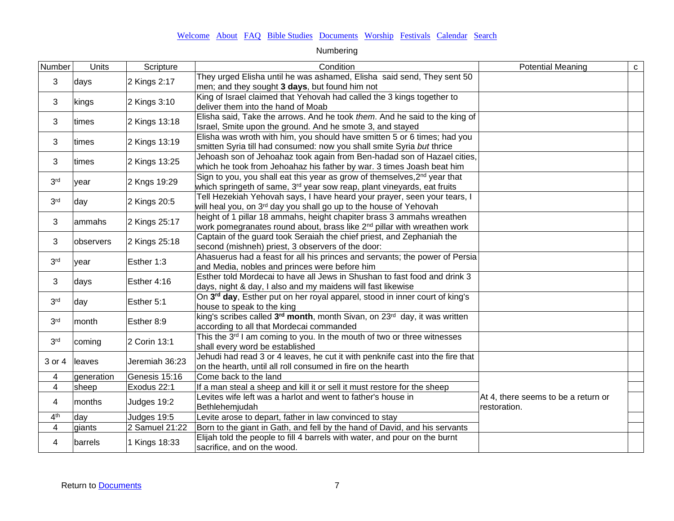| Number                  | Units         | Scripture      | Condition                                                                                                                                                                    | <b>Potential Meaning</b>                            | $\mathbf{C}$ |
|-------------------------|---------------|----------------|------------------------------------------------------------------------------------------------------------------------------------------------------------------------------|-----------------------------------------------------|--------------|
| 3                       | days          | 2 Kings 2:17   | They urged Elisha until he was ashamed, Elisha said send, They sent 50<br>men; and they sought 3 days, but found him not                                                     |                                                     |              |
| 3                       | kings         | 2 Kings 3:10   | King of Israel claimed that Yehovah had called the 3 kings together to<br>deliver them into the hand of Moab                                                                 |                                                     |              |
| 3                       | <b>Itimes</b> | 2 Kings 13:18  | Elisha said, Take the arrows. And he took them. And he said to the king of<br>Israel, Smite upon the ground. And he smote 3, and stayed                                      |                                                     |              |
| 3                       | times         | 2 Kings 13:19  | Elisha was wroth with him, you should have smitten 5 or 6 times; had you<br>smitten Syria till had consumed: now you shall smite Syria but thrice                            |                                                     |              |
| 3                       | times         | 2 Kings 13:25  | Jehoash son of Jehoahaz took again from Ben-hadad son of Hazael cities,<br>which he took from Jehoahaz his father by war. 3 times Joash beat him                             |                                                     |              |
| 3 <sup>rd</sup>         | year          | 2 Kngs 19:29   | Sign to you, you shall eat this year as grow of themselves, 2 <sup>nd</sup> year that<br>which springeth of same, 3 <sup>rd</sup> year sow reap, plant vineyards, eat fruits |                                                     |              |
| 3 <sup>rd</sup>         | day           | 2 Kings 20:5   | Tell Hezekiah Yehovah says, I have heard your prayer, seen your tears, I<br>will heal you, on 3 <sup>rd</sup> day you shall go up to the house of Yehovah                    |                                                     |              |
| 3                       | ammahs        | 2 Kings 25:17  | height of 1 pillar 18 ammahs, height chapiter brass 3 ammahs wreathen<br>work pomegranates round about, brass like 2 <sup>nd</sup> pillar with wreathen work                 |                                                     |              |
| 3                       | observers     | 2 Kings 25:18  | Captain of the guard took Seraiah the chief priest, and Zephaniah the<br>second (mishneh) priest, 3 observers of the door:                                                   |                                                     |              |
| 3 <sup>rd</sup>         | vear          | Esther 1:3     | Ahasuerus had a feast for all his princes and servants; the power of Persia<br>and Media, nobles and princes were before him                                                 |                                                     |              |
| 3                       | days          | Esther 4:16    | Esther told Mordecai to have all Jews in Shushan to fast food and drink 3<br>days, night & day, I also and my maidens will fast likewise                                     |                                                     |              |
| 3 <sup>rd</sup>         | day           | Esther 5:1     | On 3rd day, Esther put on her royal apparel, stood in inner court of king's<br>house to speak to the king                                                                    |                                                     |              |
| 3 <sup>rd</sup>         | month         | Esther 8:9     | king's scribes called 3 <sup>rd</sup> month, month Sivan, on 23 <sup>rd</sup> day, it was written<br>according to all that Mordecai commanded                                |                                                     |              |
| 3 <sup>rd</sup>         | coming        | 2 Corin 13:1   | This the 3 <sup>rd</sup> I am coming to you. In the mouth of two or three witnesses<br>shall every word be established                                                       |                                                     |              |
| 3 or 4                  | leaves        | Jeremiah 36:23 | Jehudi had read 3 or 4 leaves, he cut it with penknife cast into the fire that<br>on the hearth, until all roll consumed in fire on the hearth                               |                                                     |              |
| 4                       | generation    | Genesis 15:16  | Come back to the land                                                                                                                                                        |                                                     |              |
| $\overline{4}$          | sheep         | Exodus 22:1    | If a man steal a sheep and kill it or sell it must restore for the sheep                                                                                                     |                                                     |              |
| 4                       | months        | Judges 19:2    | Levites wife left was a harlot and went to father's house in<br>Bethlehemjudah                                                                                               | At 4, there seems to be a return or<br>restoration. |              |
| 4 <sup>th</sup>         | day           | Judges 19:5    | Levite arose to depart, father in law convinced to stay                                                                                                                      |                                                     |              |
| $\overline{\mathbf{4}}$ | giants        | 2 Samuel 21:22 | Born to the giant in Gath, and fell by the hand of David, and his servants                                                                                                   |                                                     |              |
| 4                       | barrels       | 1 Kings 18:33  | Elijah told the people to fill 4 barrels with water, and pour on the burnt<br>sacrifice, and on the wood.                                                                    |                                                     |              |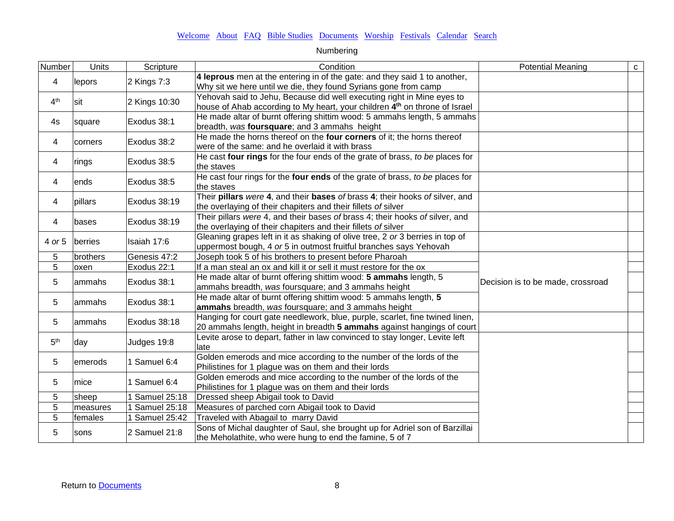| Number          | Units    | Scripture           | Condition                                                                                                                                                        | <b>Potential Meaning</b>          | ${\bf C}$ |
|-----------------|----------|---------------------|------------------------------------------------------------------------------------------------------------------------------------------------------------------|-----------------------------------|-----------|
| 4               | lepors   | $2$ Kings 7:3       | 4 leprous men at the entering in of the gate: and they said 1 to another,<br>Why sit we here until we die, they found Syrians gone from camp                     |                                   |           |
| 4 <sup>th</sup> | sit      | 2 Kings 10:30       | Yehovah said to Jehu, Because did well executing right in Mine eyes to<br>house of Ahab according to My heart, your children 4 <sup>th</sup> on throne of Israel |                                   |           |
| 4s              | square   | Exodus 38:1         | He made altar of burnt offering shittim wood: 5 ammahs length, 5 ammahs<br>breadth, was foursquare; and 3 ammahs height                                          |                                   |           |
| 4               | corners  | Exodus 38:2         | He made the horns thereof on the four corners of it; the horns thereof<br>were of the same: and he overlaid it with brass                                        |                                   |           |
| 4               | rings    | Exodus 38:5         | He cast four rings for the four ends of the grate of brass, to be places for<br>the staves                                                                       |                                   |           |
| 4               | ends     | Exodus 38:5         | He cast four rings for the four ends of the grate of brass, to be places for<br>the staves                                                                       |                                   |           |
| 4               | pillars  | Exodus 38:19        | Their pillars were 4, and their bases of brass 4; their hooks of silver, and<br>the overlaying of their chapiters and their fillets of silver                    |                                   |           |
| 4               | bases    | Exodus 38:19        | Their pillars were 4, and their bases of brass 4; their hooks of silver, and<br>the overlaying of their chapiters and their fillets of silver                    |                                   |           |
| 4 or 5          | berries  | Isaiah 17:6         | Gleaning grapes left in it as shaking of olive tree, 2 or 3 berries in top of<br>uppermost bough, 4 or 5 in outmost fruitful branches says Yehovah               |                                   |           |
| 5               | brothers | Genesis 47:2        | Joseph took 5 of his brothers to present before Pharoah                                                                                                          |                                   |           |
| 5               | oxen     | Exodus 22:1         | If a man steal an ox and kill it or sell it must restore for the ox                                                                                              |                                   |           |
| 5               | lammahs  | Exodus 38:1         | He made altar of burnt offering shittim wood: 5 ammahs length, 5<br>ammahs breadth, was foursquare; and 3 ammahs height                                          | Decision is to be made, crossroad |           |
| 5               | lammahs  | Exodus 38:1         | He made altar of burnt offering shittim wood: 5 ammahs length, 5<br>ammahs breadth, was foursquare; and 3 ammahs height                                          |                                   |           |
| 5               | ammahs   | Exodus 38:18        | Hanging for court gate needlework, blue, purple, scarlet, fine twined linen,<br>20 ammahs length, height in breadth 5 ammahs against hangings of court           |                                   |           |
| 5 <sup>th</sup> | day      | Judges 19:8         | Levite arose to depart, father in law convinced to stay longer, Levite left<br>llate                                                                             |                                   |           |
| 5               | emerods  | 1 Samuel 6:4        | Golden emerods and mice according to the number of the lords of the<br>Philistines for 1 plague was on them and their lords                                      |                                   |           |
| 5               | Imice    | 1 Samuel 6:4        | Golden emerods and mice according to the number of the lords of the<br>Philistines for 1 plague was on them and their lords                                      |                                   |           |
| 5               | sheep    | Samuel 25:18        | Dressed sheep Abigail took to David                                                                                                                              |                                   |           |
| $\overline{5}$  | measures | <b>Samuel 25:18</b> | Measures of parched corn Abigail took to David                                                                                                                   |                                   |           |
| $\overline{5}$  | females  | Samuel 25:42        | Traveled with Abagail to marry David                                                                                                                             |                                   |           |
| 5               | sons     | 2 Samuel 21:8       | Sons of Michal daughter of Saul, she brought up for Adriel son of Barzillai<br>the Meholathite, who were hung to end the famine, 5 of 7                          |                                   |           |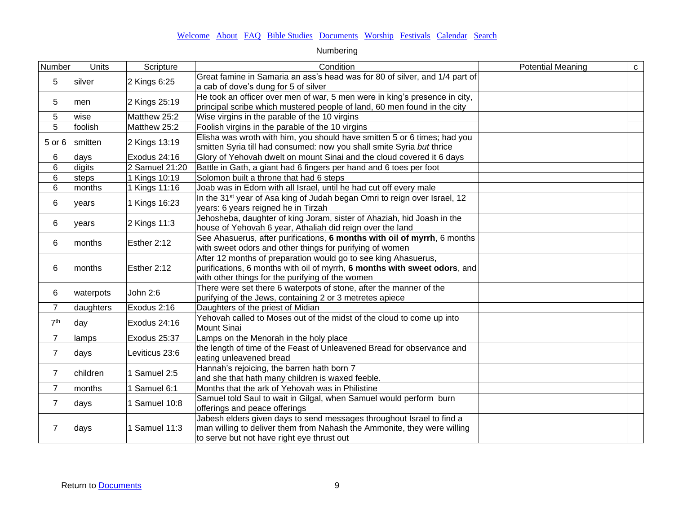| Number          | Units     | Scripture      | Condition                                                                                                                                                                                       | <b>Potential Meaning</b> | $\mathbf C$ |
|-----------------|-----------|----------------|-------------------------------------------------------------------------------------------------------------------------------------------------------------------------------------------------|--------------------------|-------------|
| 5               | silver    | 2 Kings 6:25   | Great famine in Samaria an ass's head was for 80 of silver, and 1/4 part of<br>a cab of dove's dung for 5 of silver                                                                             |                          |             |
| 5               | men       | 2 Kings 25:19  | He took an officer over men of war, 5 men were in king's presence in city,<br>principal scribe which mustered people of land, 60 men found in the city                                          |                          |             |
| 5               | wise      | Matthew 25:2   | Wise virgins in the parable of the 10 virgins                                                                                                                                                   |                          |             |
| $\overline{5}$  | foolish   | Matthew 25:2   | Foolish virgins in the parable of the 10 virgins                                                                                                                                                |                          |             |
| 5 or 6          | smitten   | 2 Kings 13:19  | Elisha was wroth with him, you should have smitten 5 or 6 times; had you<br>smitten Syria till had consumed: now you shall smite Syria but thrice                                               |                          |             |
| 6               | days      | Exodus 24:16   | Glory of Yehovah dwelt on mount Sinai and the cloud covered it 6 days                                                                                                                           |                          |             |
| 6               | digits    | 2 Samuel 21:20 | Battle in Gath, a giant had 6 fingers per hand and 6 toes per foot                                                                                                                              |                          |             |
| $6\phantom{1}$  | steps     | 1 Kings 10:19  | Solomon built a throne that had 6 steps                                                                                                                                                         |                          |             |
| $\,6\,$         | months    | 1 Kings 11:16  | Joab was in Edom with all Israel, until he had cut off every male                                                                                                                               |                          |             |
| 6               | years     | 1 Kings 16:23  | In the 31 <sup>st</sup> year of Asa king of Judah began Omri to reign over Israel, 12<br>years: 6 years reigned he in Tirzah                                                                    |                          |             |
| 6               | years     | 2 Kings 11:3   | Jehosheba, daughter of king Joram, sister of Ahaziah, hid Joash in the<br>house of Yehovah 6 year, Athaliah did reign over the land                                                             |                          |             |
| 6               | months    | Esther 2:12    | See Ahasuerus, after purifications, 6 months with oil of myrrh, 6 months<br>with sweet odors and other things for purifying of women                                                            |                          |             |
| 6               | months    | Esther 2:12    | After 12 months of preparation would go to see king Ahasuerus,<br>purifications, 6 months with oil of myrrh, 6 months with sweet odors, and<br>with other things for the purifying of the women |                          |             |
| 6               | waterpots | John 2:6       | There were set there 6 waterpots of stone, after the manner of the<br>purifying of the Jews, containing 2 or 3 metretes apiece                                                                  |                          |             |
| $\overline{7}$  | daughters | Exodus 2:16    | Daughters of the priest of Midian                                                                                                                                                               |                          |             |
| 7 <sup>th</sup> | day       | Exodus 24:16   | Yehovah called to Moses out of the midst of the cloud to come up into<br>Mount Sinai                                                                                                            |                          |             |
| $\overline{7}$  | lamps     | Exodus 25:37   | Lamps on the Menorah in the holy place                                                                                                                                                          |                          |             |
| $\overline{7}$  | days      | Leviticus 23:6 | the length of time of the Feast of Unleavened Bread for observance and<br>eating unleavened bread                                                                                               |                          |             |
| $\overline{7}$  | children  | 1 Samuel 2:5   | Hannah's rejoicing, the barren hath born 7<br>and she that hath many children is waxed feeble.                                                                                                  |                          |             |
| $\overline{7}$  | months    | Samuel 6:1     | Months that the ark of Yehovah was in Philistine                                                                                                                                                |                          |             |
| $\overline{7}$  | days      | 1 Samuel 10:8  | Samuel told Saul to wait in Gilgal, when Samuel would perform burn<br>offerings and peace offerings                                                                                             |                          |             |
| $\overline{7}$  | days      | 1 Samuel 11:3  | Jabesh elders given days to send messages throughout Israel to find a<br>man willing to deliver them from Nahash the Ammonite, they were willing<br>to serve but not have right eye thrust out  |                          |             |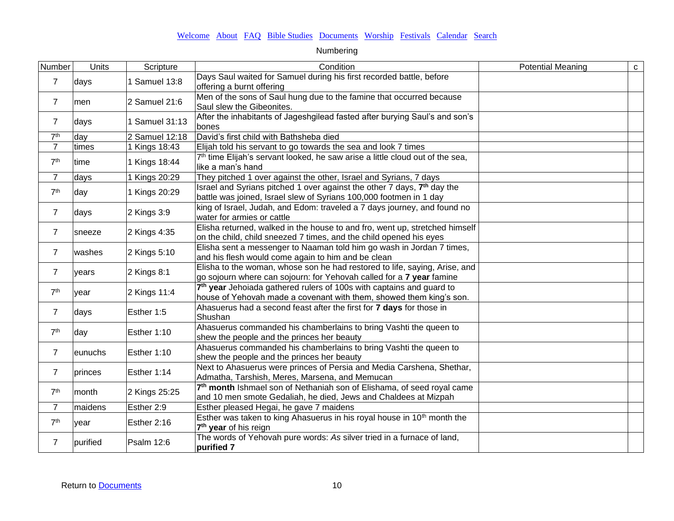| Number          | Units    | Scripture      | Condition                                                                                                                                                 | <b>Potential Meaning</b> | $\mathbf{C}$ |
|-----------------|----------|----------------|-----------------------------------------------------------------------------------------------------------------------------------------------------------|--------------------------|--------------|
| $\overline{7}$  | days     | 1 Samuel 13:8  | Days Saul waited for Samuel during his first recorded battle, before<br>offering a burnt offering                                                         |                          |              |
| $\overline{7}$  | men      | 2 Samuel 21:6  | Men of the sons of Saul hung due to the famine that occurred because<br>Saul slew the Gibeonites.                                                         |                          |              |
| $\overline{7}$  | days     | 1 Samuel 31:13 | After the inhabitants of Jageshgilead fasted after burying Saul's and son's<br>bones                                                                      |                          |              |
| 7 <sup>th</sup> | day      | 2 Samuel 12:18 | David's first child with Bathsheba died                                                                                                                   |                          |              |
| $\overline{7}$  | times    | 1 Kings 18:43  | Elijah told his servant to go towards the sea and look 7 times                                                                                            |                          |              |
| 7 <sup>th</sup> | time     | 1 Kings 18:44  | 7 <sup>th</sup> time Elijah's servant looked, he saw arise a little cloud out of the sea,<br>like a man's hand                                            |                          |              |
| $\overline{7}$  | days     | 1 Kings 20:29  | They pitched 1 over against the other, Israel and Syrians, 7 days                                                                                         |                          |              |
| 7 <sup>th</sup> | day      | 1 Kings 20:29  | Israel and Syrians pitched 1 over against the other 7 days, 7 <sup>th</sup> day the<br>battle was joined, Israel slew of Syrians 100,000 footmen in 1 day |                          |              |
| $\overline{7}$  | days     | 2 Kings 3:9    | king of Israel, Judah, and Edom: traveled a 7 days journey, and found no<br>water for armies or cattle                                                    |                          |              |
| $\overline{7}$  | sneeze   | 2 Kings 4:35   | Elisha returned, walked in the house to and fro, went up, stretched himself<br>on the child, child sneezed 7 times, and the child opened his eyes         |                          |              |
| $\overline{7}$  | washes   | 2 Kings 5:10   | Elisha sent a messenger to Naaman told him go wash in Jordan 7 times,<br>and his flesh would come again to him and be clean                               |                          |              |
| $\overline{7}$  | years    | $2$ Kings 8:1  | Elisha to the woman, whose son he had restored to life, saying, Arise, and<br>go sojourn where can sojourn: for Yehovah called for a 7 year famine        |                          |              |
| 7 <sup>th</sup> | vear     | 2 Kings 11:4   | 7 <sup>th</sup> year Jehoiada gathered rulers of 100s with captains and guard to<br>house of Yehovah made a covenant with them, showed them king's son.   |                          |              |
| $\overline{7}$  | days     | Esther 1:5     | Ahasuerus had a second feast after the first for 7 days for those in<br><b>Shushan</b>                                                                    |                          |              |
| 7 <sup>th</sup> | day      | Esther 1:10    | Ahasuerus commanded his chamberlains to bring Vashti the queen to<br>shew the people and the princes her beauty                                           |                          |              |
| $\overline{7}$  | eunuchs  | Esther 1:10    | Ahasuerus commanded his chamberlains to bring Vashti the queen to<br>shew the people and the princes her beauty                                           |                          |              |
| $\overline{7}$  | princes  | Esther 1:14    | Next to Ahasuerus were princes of Persia and Media Carshena, Shethar,<br>Admatha, Tarshish, Meres, Marsena, and Memucan                                   |                          |              |
| 7 <sup>th</sup> | month    | 2 Kings 25:25  | 7 <sup>th</sup> month Ishmael son of Nethaniah son of Elishama, of seed royal came<br>and 10 men smote Gedaliah, he died, Jews and Chaldees at Mizpah     |                          |              |
| $\overline{7}$  | maidens  | Esther 2:9     | Esther pleased Hegai, he gave 7 maidens                                                                                                                   |                          |              |
| 7 <sup>th</sup> | vear     | Esther 2:16    | Esther was taken to king Ahasuerus in his royal house in 10 <sup>th</sup> month the<br>7 <sup>th</sup> year of his reign                                  |                          |              |
| $\overline{7}$  | purified | Psalm 12:6     | The words of Yehovah pure words: As silver tried in a furnace of land,<br><b>purified 7</b>                                                               |                          |              |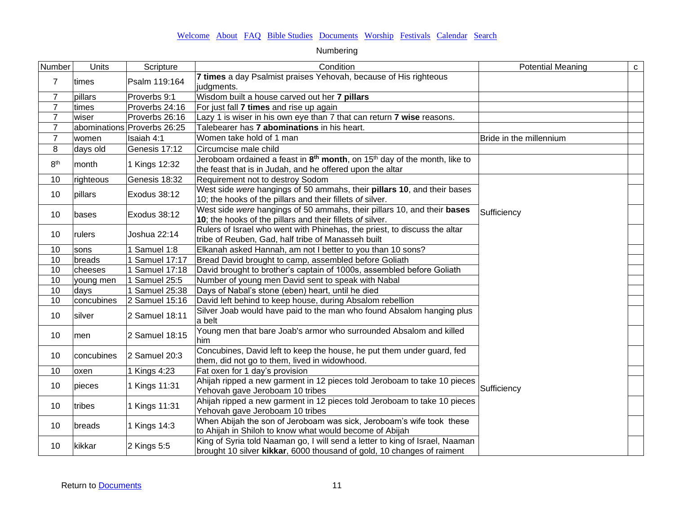| Number          | Units      | Scripture                   | Condition                                                                                                                                              | <b>Potential Meaning</b> | $\mathtt{C}$ |
|-----------------|------------|-----------------------------|--------------------------------------------------------------------------------------------------------------------------------------------------------|--------------------------|--------------|
| 7               | times      | Psalm 119:164               | 7 times a day Psalmist praises Yehovah, because of His righteous<br>judgments.                                                                         |                          |              |
| $\overline{7}$  | pillars    | Proverbs 9:1                | Wisdom built a house carved out her 7 pillars                                                                                                          |                          |              |
| $\overline{7}$  | times      | Proverbs 24:16              | For just fall 7 times and rise up again                                                                                                                |                          |              |
| $\overline{7}$  | wiser      | Proverbs 26:16              | Lazy 1 is wiser in his own eye than 7 that can return 7 wise reasons.                                                                                  |                          |              |
| $\overline{7}$  |            | abominations Proverbs 26:25 | Talebearer has 7 abominations in his heart.                                                                                                            |                          |              |
| $\overline{7}$  | women      | Isaiah 4:1                  | Women take hold of 1 man                                                                                                                               | Bride in the millennium  |              |
| 8               | days old   | Genesis 17:12               | Circumcise male child                                                                                                                                  |                          |              |
| 8 <sup>th</sup> | month      | 1 Kings 12:32               | Jeroboam ordained a feast in $8th$ month, on 15 <sup>th</sup> day of the month, like to<br>the feast that is in Judah, and he offered upon the altar   |                          |              |
| 10              | righteous  | Genesis 18:32               | Requirement not to destroy Sodom                                                                                                                       |                          |              |
| 10              | pillars    | Exodus 38:12                | West side were hangings of 50 ammahs, their pillars 10, and their bases<br>10; the hooks of the pillars and their fillets of silver.                   |                          |              |
| 10              | bases      | Exodus 38:12                | West side were hangings of 50 ammahs, their pillars 10, and their bases<br>10; the hooks of the pillars and their fillets of silver.                   | Sufficiency              |              |
| 10              | rulers     | Joshua 22:14                | Rulers of Israel who went with Phinehas, the priest, to discuss the altar<br>tribe of Reuben, Gad, half tribe of Manasseh built                        |                          |              |
| 10              | sons       | 1 Samuel 1:8                | Elkanah asked Hannah, am not I better to you than 10 sons?                                                                                             |                          |              |
| 10              | breads     | Samuel 17:17                | Bread David brought to camp, assembled before Goliath                                                                                                  |                          |              |
| 10              | cheeses    | 1 Samuel 17:18              | David brought to brother's captain of 1000s, assembled before Goliath                                                                                  |                          |              |
| 10              | young men  | 1 Samuel 25:5               | Number of young men David sent to speak with Nabal                                                                                                     |                          |              |
| 10              | days       | 1 Samuel 25:38              | Days of Nabal's stone (eben) heart, until he died                                                                                                      |                          |              |
| 10              | concubines | $\sqrt{2}$ Samuel 15:16     | David left behind to keep house, during Absalom rebellion                                                                                              |                          |              |
| 10              | silver     | 2 Samuel 18:11              | Silver Joab would have paid to the man who found Absalom hanging plus<br>a belt                                                                        |                          |              |
| 10              | men        | 2 Samuel 18:15              | Young men that bare Joab's armor who surrounded Absalom and killed<br>him                                                                              |                          |              |
| 10              | concubines | 2 Samuel 20:3               | Concubines, David left to keep the house, he put them under guard, fed<br>them, did not go to them, lived in widowhood.                                |                          |              |
| 10              | oxen       | 1 Kings 4:23                | Fat oxen for 1 day's provision                                                                                                                         |                          |              |
| 10              | pieces     | 1 Kings 11:31               | Ahijah ripped a new garment in 12 pieces told Jeroboam to take 10 pieces<br>Yehovah gave Jeroboam 10 tribes                                            | Sufficiency              |              |
| 10              | tribes     | 1 Kings 11:31               | Ahijah ripped a new garment in 12 pieces told Jeroboam to take 10 pieces<br>Yehovah gave Jeroboam 10 tribes                                            |                          |              |
| 10              | breads     | 1 Kings 14:3                | When Abijah the son of Jeroboam was sick, Jeroboam's wife took these<br>to Ahijah in Shiloh to know what would become of Abijah                        |                          |              |
| 10              | kikkar     | 2 Kings 5:5                 | King of Syria told Naaman go, I will send a letter to king of Israel, Naaman<br>brought 10 silver kikkar, 6000 thousand of gold, 10 changes of raiment |                          |              |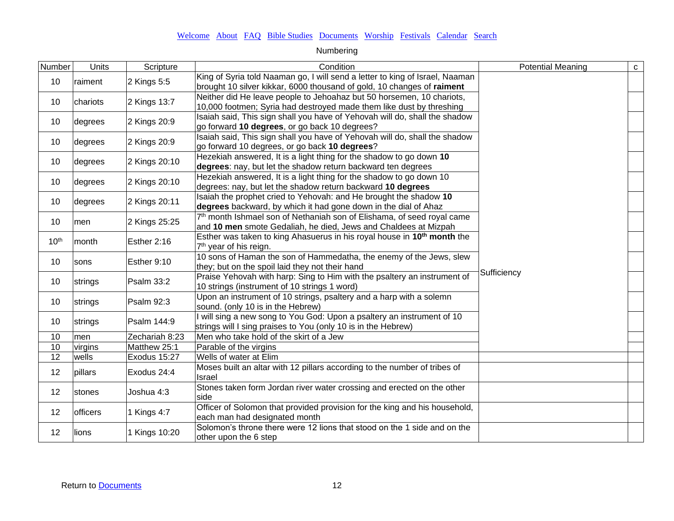| Number           | Units           | Scripture      | Condition                                                                                                                                              | <b>Potential Meaning</b> | $\mathtt{C}^-$ |
|------------------|-----------------|----------------|--------------------------------------------------------------------------------------------------------------------------------------------------------|--------------------------|----------------|
| 10               | raiment         | 2 Kings 5:5    | King of Syria told Naaman go, I will send a letter to king of Israel, Naaman<br>brought 10 silver kikkar, 6000 thousand of gold, 10 changes of raiment |                          |                |
| 10               | chariots        | 2 Kings 13:7   | Neither did He leave people to Jehoahaz but 50 horsemen, 10 chariots,<br>10,000 footmen; Syria had destroyed made them like dust by threshing          |                          |                |
| 10               | degrees         | 2 Kings 20:9   | Isaiah said, This sign shall you have of Yehovah will do, shall the shadow<br>go forward 10 degrees, or go back 10 degrees?                            |                          |                |
| 10               | degrees         | 2 Kings 20:9   | Isaiah said, This sign shall you have of Yehovah will do, shall the shadow<br>go forward 10 degrees, or go back 10 degrees?                            |                          |                |
| 10               | degrees         | 2 Kings 20:10  | Hezekiah answered, It is a light thing for the shadow to go down 10<br>degrees: nay, but let the shadow return backward ten degrees                    |                          |                |
| 10               | degrees         | 2 Kings 20:10  | Hezekiah answered, It is a light thing for the shadow to go down 10<br>degrees: nay, but let the shadow return backward 10 degrees                     |                          |                |
| 10               | degrees         | 2 Kings 20:11  | Isaiah the prophet cried to Yehovah: and He brought the shadow 10<br>degrees backward, by which it had gone down in the dial of Ahaz                   |                          |                |
| 10               | men             | 2 Kings 25:25  | 7 <sup>th</sup> month Ishmael son of Nethaniah son of Elishama, of seed royal came<br>and 10 men smote Gedaliah, he died, Jews and Chaldees at Mizpah  |                          |                |
| 10 <sup>th</sup> | month           | Esther 2:16    | Esther was taken to king Ahasuerus in his royal house in 10 <sup>th</sup> month the<br>7 <sup>th</sup> year of his reign.                              |                          |                |
| 10               | sons            | Esther 9:10    | 10 sons of Haman the son of Hammedatha, the enemy of the Jews, slew<br>they; but on the spoil laid they not their hand                                 |                          |                |
| 10               | strings         | Psalm 33:2     | Praise Yehovah with harp: Sing to Him with the psaltery an instrument of<br>10 strings (instrument of 10 strings 1 word)                               | Sufficiency              |                |
| 10               | strings         | Psalm 92:3     | Upon an instrument of 10 strings, psaltery and a harp with a solemn<br>sound. (only 10 is in the Hebrew)                                               |                          |                |
| 10               | strings         | Psalm 144:9    | I will sing a new song to You God: Upon a psaltery an instrument of 10<br>strings will I sing praises to You (only 10 is in the Hebrew)                |                          |                |
| 10               | men             | Zechariah 8:23 | Men who take hold of the skirt of a Jew                                                                                                                |                          |                |
| 10               | virgins         | Matthew 25:1   | Parable of the virgins                                                                                                                                 |                          |                |
| $\overline{12}$  | wells           | Exodus 15:27   | Wells of water at Elim                                                                                                                                 |                          |                |
| 12               | pillars         | Exodus 24:4    | Moses built an altar with 12 pillars according to the number of tribes of<br>Israel                                                                    |                          |                |
| 12               | stones          | Joshua 4:3     | Stones taken form Jordan river water crossing and erected on the other<br>side                                                                         |                          |                |
| 12               | <b>officers</b> | 1 Kings 4:7    | Officer of Solomon that provided provision for the king and his household,<br>each man had designated month                                            |                          |                |
| 12               | lions           | 1 Kings 10:20  | Solomon's throne there were 12 lions that stood on the 1 side and on the<br>other upon the 6 step                                                      |                          |                |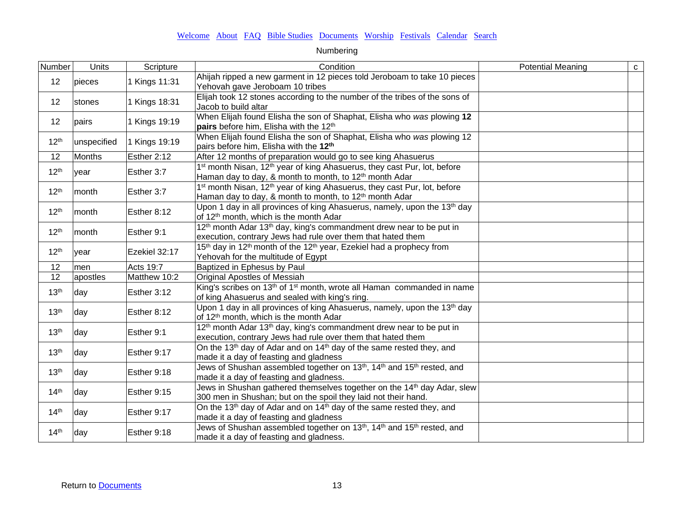| Number           | Units       | Scripture     | Condition                                                                                                                                                              | <b>Potential Meaning</b> | ${\bf c}$ |
|------------------|-------------|---------------|------------------------------------------------------------------------------------------------------------------------------------------------------------------------|--------------------------|-----------|
| 12               | pieces      | 1 Kings 11:31 | Ahijah ripped a new garment in 12 pieces told Jeroboam to take 10 pieces<br>Yehovah gave Jeroboam 10 tribes                                                            |                          |           |
| 12               | stones      | 1 Kings 18:31 | Elijah took 12 stones according to the number of the tribes of the sons of<br>Jacob to build altar                                                                     |                          |           |
| 12               | pairs       | 1 Kings 19:19 | When Elijah found Elisha the son of Shaphat, Elisha who was plowing 12<br>pairs before him, Elisha with the 12 <sup>th</sup>                                           |                          |           |
| 12 <sup>th</sup> | unspecified | 1 Kings 19:19 | When Elijah found Elisha the son of Shaphat, Elisha who was plowing 12<br>pairs before him, Elisha with the 12 <sup>th</sup>                                           |                          |           |
| 12               | Months      | Esther 2:12   | After 12 months of preparation would go to see king Ahasuerus                                                                                                          |                          |           |
| 12 <sup>th</sup> | year        | Esther 3:7    | 1 <sup>st</sup> month Nisan, 12 <sup>th</sup> year of king Ahasuerus, they cast Pur, lot, before<br>Haman day to day, & month to month, to 12 <sup>th</sup> month Adar |                          |           |
| 12 <sup>th</sup> | month       | Esther 3:7    | 1 <sup>st</sup> month Nisan, 12 <sup>th</sup> year of king Ahasuerus, they cast Pur, lot, before<br>Haman day to day, & month to month, to 12 <sup>th</sup> month Adar |                          |           |
| 12 <sup>th</sup> | month       | Esther 8:12   | Upon 1 day in all provinces of king Ahasuerus, namely, upon the 13 <sup>th</sup> day<br>of 12 <sup>th</sup> month, which is the month Adar                             |                          |           |
| 12 <sup>th</sup> | month       | Esther 9:1    | 12 <sup>th</sup> month Adar 13 <sup>th</sup> day, king's commandment drew near to be put in<br>execution, contrary Jews had rule over them that hated them             |                          |           |
| 12 <sup>th</sup> | year        | Ezekiel 32:17 | 15 <sup>th</sup> day in 12 <sup>th</sup> month of the 12 <sup>th</sup> year, Ezekiel had a prophecy from<br>Yehovah for the multitude of Egypt                         |                          |           |
| 12               | men         | Acts 19:7     | Baptized in Ephesus by Paul                                                                                                                                            |                          |           |
| 12               | apostles    | Matthew 10:2  | Original Apostles of Messiah                                                                                                                                           |                          |           |
| 13 <sup>th</sup> | day         | Esther 3:12   | King's scribes on 13 <sup>th</sup> of 1 <sup>st</sup> month, wrote all Haman commanded in name<br>of king Ahasuerus and sealed with king's ring.                       |                          |           |
| 13 <sup>th</sup> | day         | Esther 8:12   | Upon 1 day in all provinces of king Ahasuerus, namely, upon the 13 <sup>th</sup> day<br>of 12 <sup>th</sup> month, which is the month Adar                             |                          |           |
| 13 <sup>th</sup> | day         | Esther 9:1    | 12 <sup>th</sup> month Adar 13 <sup>th</sup> day, king's commandment drew near to be put in<br>execution, contrary Jews had rule over them that hated them             |                          |           |
| 13 <sup>th</sup> | day         | Esther 9:17   | On the 13 <sup>th</sup> day of Adar and on 14 <sup>th</sup> day of the same rested they, and<br>made it a day of feasting and gladness                                 |                          |           |
| 13 <sup>th</sup> | day         | Esther 9:18   | Jews of Shushan assembled together on 13 <sup>th</sup> , 14 <sup>th</sup> and 15 <sup>th</sup> rested, and<br>made it a day of feasting and gladness.                  |                          |           |
| 14 <sup>th</sup> | day         | Esther 9:15   | Jews in Shushan gathered themselves together on the 14 <sup>th</sup> day Adar, slew<br>300 men in Shushan; but on the spoil they laid not their hand.                  |                          |           |
| 14 <sup>th</sup> | day         | Esther 9:17   | On the 13 <sup>th</sup> day of Adar and on 14 <sup>th</sup> day of the same rested they, and<br>made it a day of feasting and gladness                                 |                          |           |
| 14 <sup>th</sup> | day         | Esther 9:18   | Jews of Shushan assembled together on 13 <sup>th</sup> , 14 <sup>th</sup> and 15 <sup>th</sup> rested, and<br>made it a day of feasting and gladness.                  |                          |           |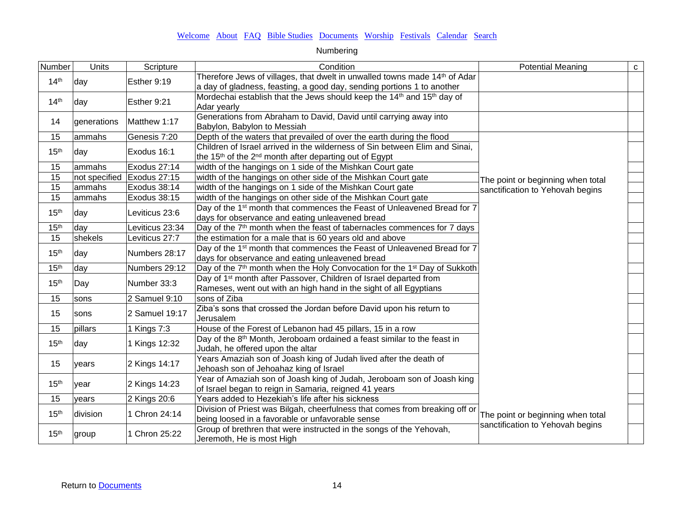| Number           | <b>Units</b> | Scripture                  | Condition                                                                                                                                                        | <b>Potential Meaning</b>          | $\mathbf{C}$ |
|------------------|--------------|----------------------------|------------------------------------------------------------------------------------------------------------------------------------------------------------------|-----------------------------------|--------------|
| 14 <sup>th</sup> | day          | Esther 9:19                | Therefore Jews of villages, that dwelt in unwalled towns made 14 <sup>th</sup> of Adar<br>a day of gladness, feasting, a good day, sending portions 1 to another |                                   |              |
| 14 <sup>th</sup> | day          | Esther 9:21                | Mordechai establish that the Jews should keep the 14 <sup>th</sup> and 15 <sup>th</sup> day of<br>Adar yearly                                                    |                                   |              |
| 14               | generations  | Matthew 1:17               | Generations from Abraham to David, David until carrying away into<br>Babylon, Babylon to Messiah                                                                 |                                   |              |
| 15               | ammahs       | Genesis 7:20               | Depth of the waters that prevailed of over the earth during the flood                                                                                            |                                   |              |
| 15 <sup>th</sup> | day          | Exodus 16:1                | Children of Israel arrived in the wilderness of Sin between Elim and Sinai,<br>the 15 <sup>th</sup> of the 2 <sup>nd</sup> month after departing out of Egypt    |                                   |              |
| 15               | ammahs       | Exodus 27:14               | width of the hangings on 1 side of the Mishkan Court gate                                                                                                        |                                   |              |
| 15               |              | not specified Exodus 27:15 | width of the hangings on other side of the Mishkan Court gate                                                                                                    | The point or beginning when total |              |
| 15               | ammahs       | Exodus 38:14               | width of the hangings on 1 side of the Mishkan Court gate                                                                                                        | sanctification to Yehovah begins  |              |
| 15               | ammahs       | Exodus 38:15               | width of the hangings on other side of the Mishkan Court gate                                                                                                    |                                   |              |
| 15 <sup>th</sup> | day          | Leviticus 23:6             | Day of the 1 <sup>st</sup> month that commences the Feast of Unleavened Bread for 7<br>days for observance and eating unleavened bread                           |                                   |              |
| 15 <sup>th</sup> | day          | Leviticus 23:34            | Day of the 7 <sup>th</sup> month when the feast of tabernacles commences for 7 days                                                                              |                                   |              |
| 15               | shekels      | Leviticus 27:7             | the estimation for a male that is 60 years old and above                                                                                                         |                                   |              |
| 15 <sup>th</sup> | day          | Numbers 28:17              | Day of the 1 <sup>st</sup> month that commences the Feast of Unleavened Bread for 7<br>days for observance and eating unleavened bread                           |                                   |              |
| 15 <sup>th</sup> | day          | Numbers 29:12              | Day of the 7 <sup>th</sup> month when the Holy Convocation for the 1 <sup>st</sup> Day of Sukkoth                                                                |                                   |              |
| 15 <sup>th</sup> | Day          | Number 33:3                | Day of 1 <sup>st</sup> month after Passover, Children of Israel departed from<br>Rameses, went out with an high hand in the sight of all Egyptians               |                                   |              |
| 15               | sons         | 2 Samuel 9:10              | sons of Ziba                                                                                                                                                     |                                   |              |
| 15               | sons         | 2 Samuel 19:17             | Ziba's sons that crossed the Jordan before David upon his return to<br>Jerusalem                                                                                 |                                   |              |
| 15               | pillars      | 1 Kings 7:3                | House of the Forest of Lebanon had 45 pillars, 15 in a row                                                                                                       |                                   |              |
| 15 <sup>th</sup> | day          | 1 Kings 12:32              | Day of the 8 <sup>th</sup> Month, Jeroboam ordained a feast similar to the feast in<br>Judah, he offered upon the altar                                          |                                   |              |
| 15               | vears        | 2 Kings 14:17              | Years Amaziah son of Joash king of Judah lived after the death of<br>Jehoash son of Jehoahaz king of Israel                                                      |                                   |              |
| 15 <sup>th</sup> | vear         | 2 Kings 14:23              | Year of Amaziah son of Joash king of Judah, Jeroboam son of Joash king<br>of Israel began to reign in Samaria, reigned 41 years                                  |                                   |              |
| 15               | years        | 2 Kings 20:6               | Years added to Hezekiah's life after his sickness                                                                                                                |                                   |              |
| 15 <sup>th</sup> | division     | 1 Chron 24:14              | Division of Priest was Bilgah, cheerfulness that comes from breaking off or<br>being loosed in a favorable or unfavorable sense                                  | The point or beginning when total |              |
| 15 <sup>th</sup> | group        | 1 Chron 25:22              | Group of brethren that were instructed in the songs of the Yehovah,<br>Jeremoth, He is most High                                                                 | sanctification to Yehovah begins  |              |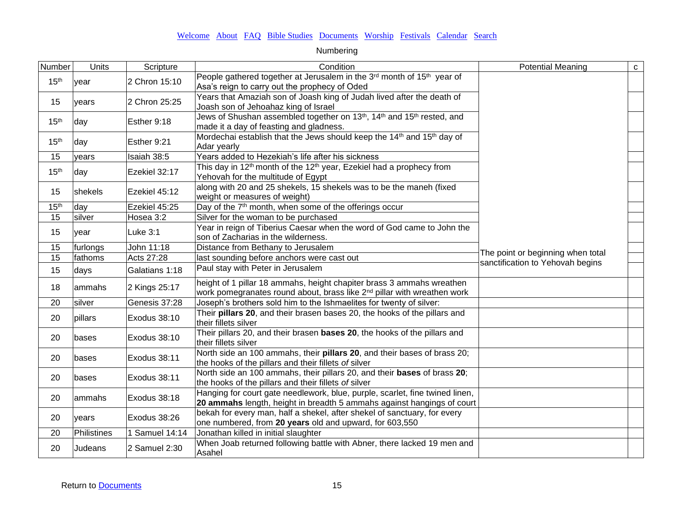| Number           | Units       | Scripture      | Condition                                                                                                                                                    | <b>Potential Meaning</b>          | ${\bf C}$ |
|------------------|-------------|----------------|--------------------------------------------------------------------------------------------------------------------------------------------------------------|-----------------------------------|-----------|
| 15 <sup>th</sup> | year        | 2 Chron 15:10  | People gathered together at Jerusalem in the 3 <sup>rd</sup> month of 15 <sup>th</sup> year of<br>Asa's reign to carry out the prophecy of Oded              |                                   |           |
| 15               | vears       | 2 Chron 25:25  | Years that Amaziah son of Joash king of Judah lived after the death of<br>Joash son of Jehoahaz king of Israel                                               |                                   |           |
| 15 <sup>th</sup> | day         | Esther 9:18    | Jews of Shushan assembled together on 13th, 14th and 15th rested, and<br>made it a day of feasting and gladness.                                             |                                   |           |
| 15 <sup>th</sup> | day         | Esther 9:21    | Mordechai establish that the Jews should keep the 14 <sup>th</sup> and 15 <sup>th</sup> day of<br>Adar yearly                                                |                                   |           |
| 15               | years       | Isaiah 38:5    | Years added to Hezekiah's life after his sickness                                                                                                            |                                   |           |
| 15 <sup>th</sup> | day         | Ezekiel 32:17  | This day in 12 <sup>th</sup> month of the 12 <sup>th</sup> year, Ezekiel had a prophecy from<br>Yehovah for the multitude of Egypt                           |                                   |           |
| 15               | shekels     | Ezekiel 45:12  | along with 20 and 25 shekels, 15 shekels was to be the maneh (fixed<br>weight or measures of weight)                                                         |                                   |           |
| 15 <sup>th</sup> | day         | Ezekiel 45:25  | Day of the 7 <sup>th</sup> month, when some of the offerings occur                                                                                           |                                   |           |
| 15               | silver      | Hosea 3:2      | Silver for the woman to be purchased                                                                                                                         |                                   |           |
| 15               | year        | Luke 3:1       | Year in reign of Tiberius Caesar when the word of God came to John the<br>son of Zacharias in the wilderness.                                                |                                   |           |
| 15               | furlongs    | John 11:18     | Distance from Bethany to Jerusalem                                                                                                                           |                                   |           |
| 15               | fathoms     | Acts 27:28     | last sounding before anchors were cast out                                                                                                                   | The point or beginning when total |           |
| 15               | days        | Galatians 1:18 | Paul stay with Peter in Jerusalem                                                                                                                            | sanctification to Yehovah begins  |           |
| 18               | ammahs      | 2 Kings 25:17  | height of 1 pillar 18 ammahs, height chapiter brass 3 ammahs wreathen<br>work pomegranates round about, brass like 2 <sup>nd</sup> pillar with wreathen work |                                   |           |
| 20               | silver      | Genesis 37:28  | Joseph's brothers sold him to the Ishmaelites for twenty of silver:                                                                                          |                                   |           |
| 20               | pillars     | Exodus 38:10   | Their pillars 20, and their brasen bases 20, the hooks of the pillars and<br>their fillets silver                                                            |                                   |           |
| 20               | bases       | Exodus 38:10   | Their pillars 20, and their brasen <b>bases 20</b> , the hooks of the pillars and<br>their fillets silver                                                    |                                   |           |
| 20               | bases       | Exodus 38:11   | North side an 100 ammahs, their pillars 20, and their bases of brass 20;<br>the hooks of the pillars and their fillets of silver                             |                                   |           |
| 20               | bases       | Exodus 38:11   | North side an 100 ammahs, their pillars 20, and their bases of brass 20;<br>the hooks of the pillars and their fillets of silver                             |                                   |           |
| 20               | lammahs     | Exodus 38:18   | Hanging for court gate needlework, blue, purple, scarlet, fine twined linen,<br>20 ammahs length, height in breadth 5 ammahs against hangings of court       |                                   |           |
| 20               | years       | Exodus 38:26   | bekah for every man, half a shekel, after shekel of sanctuary, for every<br>one numbered, from 20 years old and upward, for 603,550                          |                                   |           |
| 20               | Philistines | 1 Samuel 14:14 | Jonathan killed in initial slaughter                                                                                                                         |                                   |           |
| 20               | Judeans     | 2 Samuel 2:30  | When Joab returned following battle with Abner, there lacked 19 men and<br>Asahel                                                                            |                                   |           |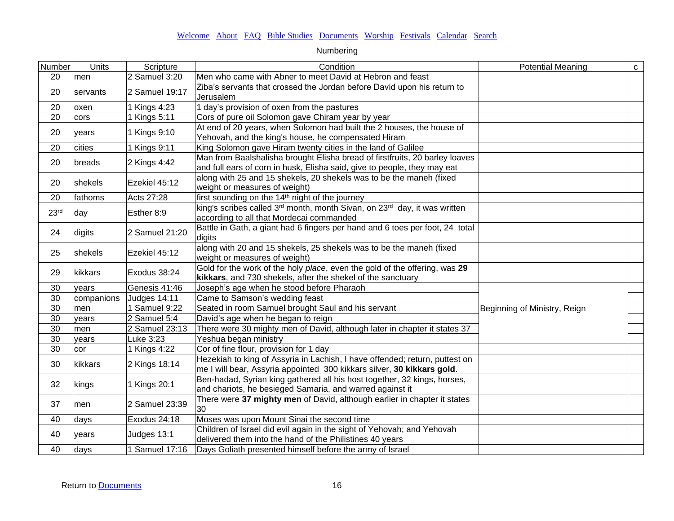| Number           | Units      | Scripture      | Condition                                                                                                                                               | <b>Potential Meaning</b>     | $\mathbf{C}$ |
|------------------|------------|----------------|---------------------------------------------------------------------------------------------------------------------------------------------------------|------------------------------|--------------|
| 20               | men        | 2 Samuel 3:20  | Men who came with Abner to meet David at Hebron and feast                                                                                               |                              |              |
| 20               | servants   | 2 Samuel 19:17 | Ziba's servants that crossed the Jordan before David upon his return to<br>Jerusalem                                                                    |                              |              |
| 20               | oxen       | 1 Kings 4:23   | 1 day's provision of oxen from the pastures                                                                                                             |                              |              |
| 20               | cors       | 1 Kings 5:11   | Cors of pure oil Solomon gave Chiram year by year                                                                                                       |                              |              |
| 20               | years      | 1 Kings 9:10   | At end of 20 years, when Solomon had built the 2 houses, the house of<br>Yehovah, and the king's house, he compensated Hiram                            |                              |              |
| 20               | cities     | 1 Kings 9:11   | King Solomon gave Hiram twenty cities in the land of Galilee                                                                                            |                              |              |
| 20               | breads     | 2 Kings 4:42   | Man from Baalshalisha brought Elisha bread of firstfruits, 20 barley loaves<br>and full ears of corn in husk, Elisha said, give to people, they may eat |                              |              |
| 20               | shekels    | Ezekiel 45:12  | along with 25 and 15 shekels, 20 shekels was to be the maneh (fixed<br>weight or measures of weight)                                                    |                              |              |
| 20               | fathoms    | Acts 27:28     | first sounding on the 14 <sup>th</sup> night of the journey                                                                                             |                              |              |
| 23 <sup>rd</sup> | day        | Esther 8:9     | king's scribes called 3 <sup>rd</sup> month, month Sivan, on 23 <sup>rd</sup> day, it was written<br>according to all that Mordecai commanded           |                              |              |
| 24               | digits     | 2 Samuel 21:20 | Battle in Gath, a giant had 6 fingers per hand and 6 toes per foot, 24 total<br>digits                                                                  |                              |              |
| 25               | shekels    | Ezekiel 45:12  | along with 20 and 15 shekels, 25 shekels was to be the maneh (fixed<br>weight or measures of weight)                                                    |                              |              |
| 29               | kikkars    | Exodus 38:24   | Gold for the work of the holy place, even the gold of the offering, was 29<br>kikkars, and 730 shekels, after the shekel of the sanctuary               |                              |              |
| 30               | years      | Genesis 41:46  | Joseph's age when he stood before Pharaoh                                                                                                               |                              |              |
| 30               | companions | Judges 14:11   | Came to Samson's wedding feast                                                                                                                          |                              |              |
| 30               | men        | 1 Samuel 9:22  | Seated in room Samuel brought Saul and his servant                                                                                                      | Beginning of Ministry, Reign |              |
| 30               | years      | 2 Samuel 5:4   | David's age when he began to reign                                                                                                                      |                              |              |
| 30               | men        | 2 Samuel 23:13 | There were 30 mighty men of David, although later in chapter it states 37                                                                               |                              |              |
| 30               | years      | Luke 3:23      | Yeshua began ministry                                                                                                                                   |                              |              |
| 30               | cor        | 1 Kings 4:22   | Cor of fine flour, provision for 1 day                                                                                                                  |                              |              |
| 30               | kikkars    | 2 Kings 18:14  | Hezekiah to king of Assyria in Lachish, I have offended; return, puttest on<br>me I will bear, Assyria appointed 300 kikkars silver, 30 kikkars gold.   |                              |              |
| 32               | kings      | 1 Kings 20:1   | Ben-hadad, Syrian king gathered all his host together, 32 kings, horses,<br>and chariots, he besieged Samaria, and warred against it                    |                              |              |
| 37               | men        | 2 Samuel 23:39 | There were 37 mighty men of David, although earlier in chapter it states<br>30                                                                          |                              |              |
| 40               | days       | Exodus 24:18   | Moses was upon Mount Sinai the second time                                                                                                              |                              |              |
| 40               | years      | Judges 13:1    | Children of Israel did evil again in the sight of Yehovah; and Yehovah<br>delivered them into the hand of the Philistines 40 years                      |                              |              |
| 40               | days       | 1 Samuel 17:16 | Days Goliath presented himself before the army of Israel                                                                                                |                              |              |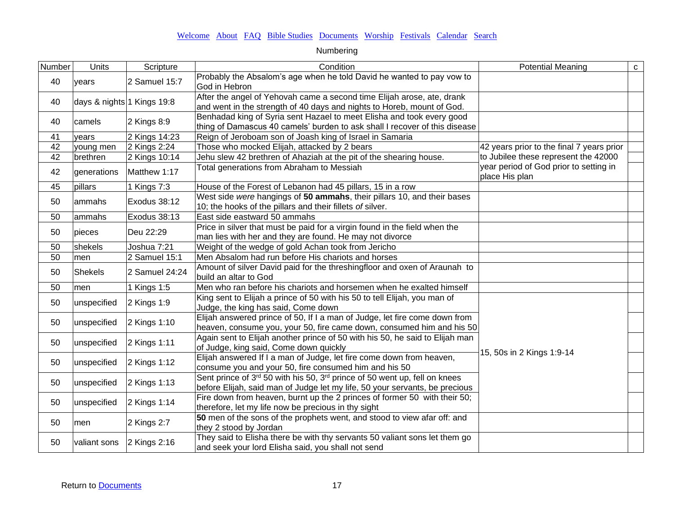| Number          | <b>Units</b>               | Scripture      | Condition                                                                                                                                                 | <b>Potential Meaning</b>                                 | $\mathbf{C}$ |
|-----------------|----------------------------|----------------|-----------------------------------------------------------------------------------------------------------------------------------------------------------|----------------------------------------------------------|--------------|
| 40              | years                      | 2 Samuel 15:7  | Probably the Absalom's age when he told David he wanted to pay vow to<br>God in Hebron                                                                    |                                                          |              |
| 40              | days & nights 1 Kings 19:8 |                | After the angel of Yehovah came a second time Elijah arose, ate, drank<br>and went in the strength of 40 days and nights to Horeb, mount of God.          |                                                          |              |
| 40              | camels                     | $2$ Kings 8:9  | Benhadad king of Syria sent Hazael to meet Elisha and took every good<br>thing of Damascus 40 camels' burden to ask shall I recover of this disease       |                                                          |              |
| 41              | years                      | 2 Kings 14:23  | Reign of Jeroboam son of Joash king of Israel in Samaria                                                                                                  |                                                          |              |
| $\overline{42}$ | young men                  | 2 Kings 2:24   | Those who mocked Elijah, attacked by 2 bears                                                                                                              | 42 years prior to the final 7 years prior                |              |
| $\overline{42}$ | brethren                   | 2 Kings 10:14  | Jehu slew 42 brethren of Ahaziah at the pit of the shearing house.                                                                                        | to Jubilee these represent the 42000                     |              |
| 42              | generations                | Matthew 1:17   | Total generations from Abraham to Messiah                                                                                                                 | year period of God prior to setting in<br>place His plan |              |
| 45              | pillars                    | 1 Kings 7:3    | House of the Forest of Lebanon had 45 pillars, 15 in a row                                                                                                |                                                          |              |
| 50              | ammahs                     | Exodus 38:12   | West side were hangings of 50 ammahs, their pillars 10, and their bases<br>10; the hooks of the pillars and their fillets of silver.                      |                                                          |              |
| 50              | ammahs                     | Exodus 38:13   | East side eastward 50 ammahs                                                                                                                              |                                                          |              |
| 50              | pieces                     | Deu 22:29      | Price in silver that must be paid for a virgin found in the field when the<br>man lies with her and they are found. He may not divorce                    |                                                          |              |
| 50              | shekels                    | Joshua 7:21    | Weight of the wedge of gold Achan took from Jericho                                                                                                       |                                                          |              |
| 50              | men                        | 2 Samuel 15:1  | Men Absalom had run before His chariots and horses                                                                                                        |                                                          |              |
| 50              | <b>Shekels</b>             | 2 Samuel 24:24 | Amount of silver David paid for the threshingfloor and oxen of Araunah to<br>build an altar to God                                                        |                                                          |              |
| 50              | men                        | 1 Kings 1:5    | Men who ran before his chariots and horsemen when he exalted himself                                                                                      |                                                          |              |
| 50              | unspecified                | 2 Kings 1:9    | King sent to Elijah a prince of 50 with his 50 to tell Elijah, you man of<br>Judge, the king has said, Come down                                          |                                                          |              |
| 50              | unspecified                | 2 Kings 1:10   | Elijah answered prince of 50, If I a man of Judge, let fire come down from<br>heaven, consume you, your 50, fire came down, consumed him and his 50       |                                                          |              |
| 50              | unspecified                | 2 Kings 1:11   | Again sent to Elijah another prince of 50 with his 50, he said to Elijah man<br>of Judge, king said, Come down quickly                                    |                                                          |              |
| 50              | unspecified                | 2 Kings 1:12   | Elijah answered If I a man of Judge, let fire come down from heaven,<br>consume you and your 50, fire consumed him and his 50                             | 15, 50s in 2 Kings 1:9-14                                |              |
| 50              | unspecified                | 2 Kings 1:13   | Sent prince of 3rd 50 with his 50, 3rd prince of 50 went up, fell on knees<br>before Elijah, said man of Judge let my life, 50 your servants, be precious |                                                          |              |
| 50              | unspecified                | 2 Kings 1:14   | Fire down from heaven, burnt up the 2 princes of former 50 with their 50;<br>therefore, let my life now be precious in thy sight                          |                                                          |              |
| 50              | men                        | 2 Kings 2:7    | 50 men of the sons of the prophets went, and stood to view afar off: and<br>they 2 stood by Jordan                                                        |                                                          |              |
| 50              | valiant sons               | 2 Kings 2:16   | They said to Elisha there be with thy servants 50 valiant sons let them go<br>and seek your lord Elisha said, you shall not send                          |                                                          |              |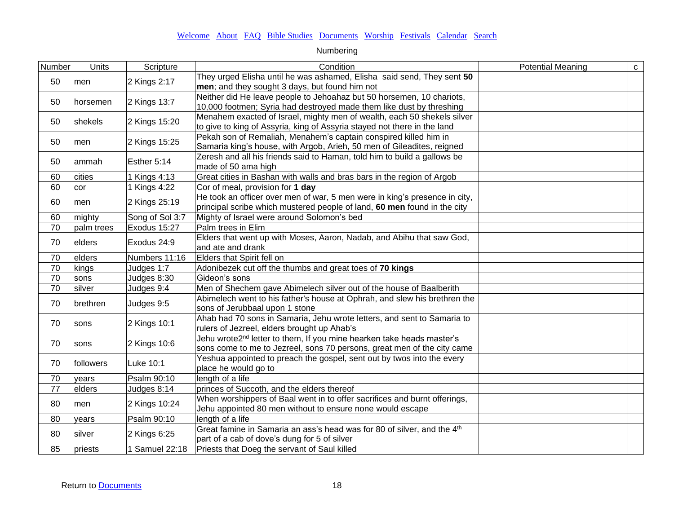| Number          | Units      | Scripture       | Condition                                                                           | <b>Potential Meaning</b> | $\mathbf{C}$ |
|-----------------|------------|-----------------|-------------------------------------------------------------------------------------|--------------------------|--------------|
| 50              | men        | 2 Kings 2:17    | They urged Elisha until he was ashamed, Elisha said send, They sent 50              |                          |              |
|                 |            |                 | men; and they sought 3 days, but found him not                                      |                          |              |
| 50              | horsemen   | 2 Kings 13:7    | Neither did He leave people to Jehoahaz but 50 horsemen, 10 chariots,               |                          |              |
|                 |            |                 | 10,000 footmen; Syria had destroyed made them like dust by threshing                |                          |              |
| 50              | shekels    | 2 Kings 15:20   | Menahem exacted of Israel, mighty men of wealth, each 50 shekels silver             |                          |              |
|                 |            |                 | to give to king of Assyria, king of Assyria stayed not there in the land            |                          |              |
| 50              | men        | 2 Kings 15:25   | Pekah son of Remaliah, Menahem's captain conspired killed him in                    |                          |              |
|                 |            |                 | Samaria king's house, with Argob, Arieh, 50 men of Gileadites, reigned              |                          |              |
| 50              | ammah      | Esther 5:14     | Zeresh and all his friends said to Haman, told him to build a gallows be            |                          |              |
|                 |            |                 | made of 50 ama high                                                                 |                          |              |
| 60              | cities     | 1 Kings 4:13    | Great cities in Bashan with walls and bras bars in the region of Argob              |                          |              |
| 60              | cor        | 1 Kings 4:22    | Cor of meal, provision for 1 day                                                    |                          |              |
| 60              | men        | 2 Kings 25:19   | He took an officer over men of war, 5 men were in king's presence in city,          |                          |              |
|                 |            |                 | principal scribe which mustered people of land, 60 men found in the city            |                          |              |
| 60              | mighty     | Song of Sol 3:7 | Mighty of Israel were around Solomon's bed                                          |                          |              |
| $\overline{70}$ | palm trees | Exodus 15:27    | Palm trees in Elim                                                                  |                          |              |
| 70              | elders     | Exodus 24:9     | Elders that went up with Moses, Aaron, Nadab, and Abihu that saw God,               |                          |              |
|                 |            |                 | and ate and drank                                                                   |                          |              |
| 70              | elders     | Numbers 11:16   | <b>Elders that Spirit fell on</b>                                                   |                          |              |
| $\overline{70}$ | kings      | Judges 1:7      | Adonibezek cut off the thumbs and great toes of 70 kings                            |                          |              |
| 70              | sons       | Judges 8:30     | Gideon's sons                                                                       |                          |              |
| $\overline{70}$ | silver     | Judges 9:4      | Men of Shechem gave Abimelech silver out of the house of Baalberith                 |                          |              |
| 70              | brethren   | Judges 9:5      | Abimelech went to his father's house at Ophrah, and slew his brethren the           |                          |              |
|                 |            |                 | sons of Jerubbaal upon 1 stone                                                      |                          |              |
| 70              | sons       | 2 Kings 10:1    | Ahab had 70 sons in Samaria, Jehu wrote letters, and sent to Samaria to             |                          |              |
|                 |            |                 | rulers of Jezreel, elders brought up Ahab's                                         |                          |              |
| 70              | sons       | 2 Kings 10:6    | Jehu wrote2 <sup>nd</sup> letter to them, If you mine hearken take heads master's   |                          |              |
|                 |            |                 | sons come to me to Jezreel, sons 70 persons, great men of the city came             |                          |              |
| 70              | followers  | Luke 10:1       | Yeshua appointed to preach the gospel, sent out by twos into the every              |                          |              |
|                 |            |                 | place he would go to                                                                |                          |              |
| 70              | years      | Psalm 90:10     | length of a life                                                                    |                          |              |
| 77              | elders     | Judges 8:14     | princes of Succoth, and the elders thereof                                          |                          |              |
| 80              | men        | 2 Kings 10:24   | When worshippers of Baal went in to offer sacrifices and burnt offerings,           |                          |              |
|                 |            |                 | Jehu appointed 80 men without to ensure none would escape                           |                          |              |
| 80              | vears      | Psalm 90:10     | length of a life                                                                    |                          |              |
| 80              | silver     | 2 Kings 6:25    | Great famine in Samaria an ass's head was for 80 of silver, and the 4 <sup>th</sup> |                          |              |
|                 |            |                 | part of a cab of dove's dung for 5 of silver                                        |                          |              |
| 85              | priests    | 1 Samuel 22:18  | Priests that Doeg the servant of Saul killed                                        |                          |              |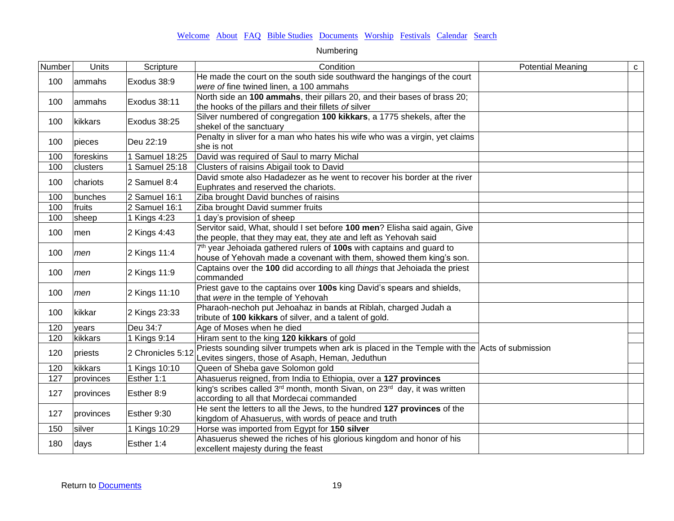| Number | Units       | Scripture           | Condition                                                                                                                                         | <b>Potential Meaning</b> | $\mathbf{C}$ |
|--------|-------------|---------------------|---------------------------------------------------------------------------------------------------------------------------------------------------|--------------------------|--------------|
| 100    | lammahs     | Exodus 38:9         | He made the court on the south side southward the hangings of the court<br>were of fine twined linen, a 100 ammahs                                |                          |              |
| 100    | lammahs     | Exodus 38:11        | North side an 100 ammahs, their pillars 20, and their bases of brass 20;<br>the hooks of the pillars and their fillets of silver                  |                          |              |
| 100    | kikkars     | Exodus 38:25        | Silver numbered of congregation 100 kikkars, a 1775 shekels, after the<br>shekel of the sanctuary                                                 |                          |              |
| 100    | pieces      | Deu 22:19           | Penalty in sliver for a man who hates his wife who was a virgin, yet claims<br>she is not                                                         |                          |              |
| 100    | foreskins   | Samuel 18:25        | David was required of Saul to marry Michal                                                                                                        |                          |              |
| 100    | clusters    | <b>Samuel 25:18</b> | Clusters of raisins Abigail took to David                                                                                                         |                          |              |
| 100    | chariots    | 2 Samuel 8:4        | David smote also Hadadezer as he went to recover his border at the river<br>Euphrates and reserved the chariots.                                  |                          |              |
| 100    | bunches     | 2 Samuel 16:1       | Ziba brought David bunches of raisins                                                                                                             |                          |              |
| 100    | fruits      | 2 Samuel 16:1       | Ziba brought David summer fruits                                                                                                                  |                          |              |
| 100    | sheep       | 1 Kings 4:23        | 1 day's provision of sheep                                                                                                                        |                          |              |
| 100    | <b>Imen</b> | 2 Kings 4:43        | Servitor said, What, should I set before 100 men? Elisha said again, Give<br>the people, that they may eat, they ate and left as Yehovah said     |                          |              |
| 100    | men         | 2 Kings 11:4        | 7th year Jehoiada gathered rulers of 100s with captains and guard to<br>house of Yehovah made a covenant with them, showed them king's son.       |                          |              |
| 100    | men         | 2 Kings 11:9        | Captains over the 100 did according to all things that Jehoiada the priest<br>commanded                                                           |                          |              |
| 100    | men         | 2 Kings 11:10       | Priest gave to the captains over 100s king David's spears and shields,<br>that were in the temple of Yehovah                                      |                          |              |
| 100    | kikkar      | 2 Kings 23:33       | Pharaoh-nechoh put Jehoahaz in bands at Riblah, charged Judah a<br>tribute of 100 kikkars of silver, and a talent of gold.                        |                          |              |
| 120    | years       | Deu 34:7            | Age of Moses when he died                                                                                                                         |                          |              |
| 120    | kikkars     | 1 Kings 9:14        | Hiram sent to the king 120 kikkars of gold                                                                                                        |                          |              |
| 120    | priests     | 2 Chronicles 5:12   | Priests sounding silver trumpets when ark is placed in the Temple with the Acts of submission<br>Levites singers, those of Asaph, Heman, Jeduthun |                          |              |
| 120    | kikkars     | 1 Kings 10:10       | Queen of Sheba gave Solomon gold                                                                                                                  |                          |              |
| 127    | provinces   | Esther 1:1          | Ahasuerus reigned, from India to Ethiopia, over a 127 provinces                                                                                   |                          |              |
| 127    | provinces   | Esther 8:9          | king's scribes called 3 <sup>rd</sup> month, month Sivan, on 23 <sup>rd</sup> day, it was written<br>according to all that Mordecai commanded     |                          |              |
| 127    | provinces   | Esther 9:30         | He sent the letters to all the Jews, to the hundred 127 provinces of the<br>kingdom of Ahasuerus, with words of peace and truth                   |                          |              |
| 150    | silver      | 1 Kings 10:29       | Horse was imported from Egypt for 150 silver                                                                                                      |                          |              |
| 180    | days        | Esther 1:4          | Ahasuerus shewed the riches of his glorious kingdom and honor of his<br>excellent majesty during the feast                                        |                          |              |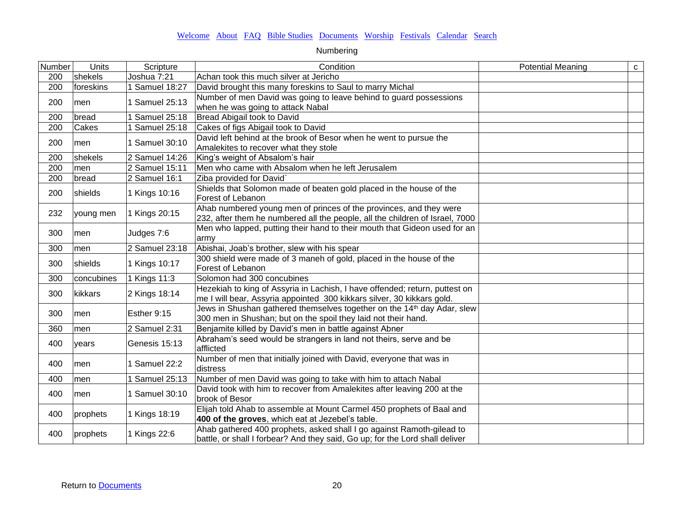| Number | Units      | Scripture      | Condition                                                                                                                                             | <b>Potential Meaning</b> | $\mathbf{C}$ |
|--------|------------|----------------|-------------------------------------------------------------------------------------------------------------------------------------------------------|--------------------------|--------------|
| 200    | shekels    | Joshua 7:21    | Achan took this much silver at Jericho                                                                                                                |                          |              |
| 200    | foreskins  | 1 Samuel 18:27 | David brought this many foreskins to Saul to marry Michal                                                                                             |                          |              |
| 200    | men        | 1 Samuel 25:13 | Number of men David was going to leave behind to guard possessions                                                                                    |                          |              |
|        |            |                | when he was going to attack Nabal                                                                                                                     |                          |              |
| 200    | bread      | 1 Samuel 25:18 | Bread Abigail took to David                                                                                                                           |                          |              |
| 200    | Cakes      | 1 Samuel 25:18 | Cakes of figs Abigail took to David                                                                                                                   |                          |              |
| 200    | men        | 1 Samuel 30:10 | David left behind at the brook of Besor when he went to pursue the<br>Amalekites to recover what they stole                                           |                          |              |
| 200    | shekels    | 2 Samuel 14:26 | King's weight of Absalom's hair                                                                                                                       |                          |              |
| 200    | men        | 2 Samuel 15:11 | Men who came with Absalom when he left Jerusalem                                                                                                      |                          |              |
| 200    | bread      | 2 Samuel 16:1  | Ziba provided for David`                                                                                                                              |                          |              |
| 200    | shields    | 1 Kings 10:16  | Shields that Solomon made of beaten gold placed in the house of the<br>Forest of Lebanon                                                              |                          |              |
| 232    | young men  | 1 Kings 20:15  | Ahab numbered young men of princes of the provinces, and they were<br>232, after them he numbered all the people, all the children of Israel, 7000    |                          |              |
| 300    | lmen       | Judges 7:6     | Men who lapped, putting their hand to their mouth that Gideon used for an<br>army                                                                     |                          |              |
| 300    | men        | 2 Samuel 23:18 | Abishai, Joab's brother, slew with his spear                                                                                                          |                          |              |
| 300    | shields    | 1 Kings 10:17  | 300 shield were made of 3 maneh of gold, placed in the house of the<br>Forest of Lebanon                                                              |                          |              |
| 300    | concubines | 1 Kings 11:3   | Solomon had 300 concubines                                                                                                                            |                          |              |
| 300    | kikkars    | 2 Kings 18:14  | Hezekiah to king of Assyria in Lachish, I have offended; return, puttest on<br>me I will bear, Assyria appointed 300 kikkars silver, 30 kikkars gold. |                          |              |
| 300    | men        | Esther 9:15    | Jews in Shushan gathered themselves together on the 14th day Adar, slew<br>300 men in Shushan; but on the spoil they laid not their hand.             |                          |              |
| 360    | men        | 2 Samuel 2:31  | Benjamite killed by David's men in battle against Abner                                                                                               |                          |              |
| 400    | years      | Genesis 15:13  | Abraham's seed would be strangers in land not theirs, serve and be<br>afflicted                                                                       |                          |              |
| 400    | men        | 1 Samuel 22:2  | Number of men that initially joined with David, everyone that was in<br>distress                                                                      |                          |              |
| 400    | men        | 1 Samuel 25:13 | Number of men David was going to take with him to attach Nabal                                                                                        |                          |              |
| 400    | men        | 1 Samuel 30:10 | David took with him to recover from Amalekites after leaving 200 at the<br>brook of Besor                                                             |                          |              |
| 400    | prophets   | 1 Kings 18:19  | Elijah told Ahab to assemble at Mount Carmel 450 prophets of Baal and<br>400 of the groves, which eat at Jezebel's table.                             |                          |              |
| 400    | prophets   | 1 Kings 22:6   | Ahab gathered 400 prophets, asked shall I go against Ramoth-gilead to<br>battle, or shall I forbear? And they said, Go up; for the Lord shall deliver |                          |              |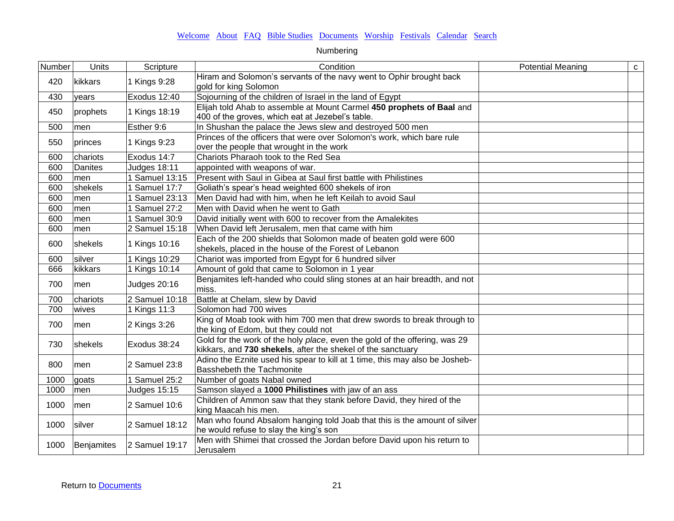| Number | <b>Units</b> | Scripture           | Condition                                                                                                                                 | <b>Potential Meaning</b> | $\mathbf C$ |
|--------|--------------|---------------------|-------------------------------------------------------------------------------------------------------------------------------------------|--------------------------|-------------|
| 420    | kikkars      | 1 Kings 9:28        | Hiram and Solomon's servants of the navy went to Ophir brought back<br>gold for king Solomon                                              |                          |             |
| 430    | years        | Exodus 12:40        | Sojourning of the children of Israel in the land of Egypt                                                                                 |                          |             |
| 450    | prophets     | 1 Kings 18:19       | Elijah told Ahab to assemble at Mount Carmel 450 prophets of Baal and<br>400 of the groves, which eat at Jezebel's table.                 |                          |             |
| 500    | men          | Esther 9:6          | In Shushan the palace the Jews slew and destroyed 500 men                                                                                 |                          |             |
| 550    | princes      | 1 Kings 9:23        | Princes of the officers that were over Solomon's work, which bare rule<br>over the people that wrought in the work                        |                          |             |
| 600    | chariots     | Exodus 14:7         | Chariots Pharaoh took to the Red Sea                                                                                                      |                          |             |
| 600    | Danites      | Judges 18:11        | appointed with weapons of war.                                                                                                            |                          |             |
| 600    | men          | 1 Samuel 13:15      | Present with Saul in Gibea at Saul first battle with Philistines                                                                          |                          |             |
| 600    | shekels      | 1 Samuel 17:7       | Goliath's spear's head weighted 600 shekels of iron                                                                                       |                          |             |
| 600    | men          | 1 Samuel 23:13      | Men David had with him, when he left Keilah to avoid Saul                                                                                 |                          |             |
| 600    | men          | 1 Samuel 27:2       | Men with David when he went to Gath                                                                                                       |                          |             |
| 600    | men          | 1 Samuel 30:9       | David initially went with 600 to recover from the Amalekites                                                                              |                          |             |
| 600    | men          | 2 Samuel 15:18      | When David left Jerusalem, men that came with him                                                                                         |                          |             |
| 600    | shekels      | 1 Kings 10:16       | Each of the 200 shields that Solomon made of beaten gold were 600<br>shekels, placed in the house of the Forest of Lebanon                |                          |             |
| 600    | silver       | 1 Kings 10:29       | Chariot was imported from Egypt for 6 hundred silver                                                                                      |                          |             |
| 666    | kikkars      | 1 Kings 10:14       | Amount of gold that came to Solomon in 1 year                                                                                             |                          |             |
| 700    | men          | <b>Judges 20:16</b> | Benjamites left-handed who could sling stones at an hair breadth, and not<br>miss.                                                        |                          |             |
| 700    | chariots     | 2 Samuel 10:18      | Battle at Chelam, slew by David                                                                                                           |                          |             |
| 700    | wives        | 1 Kings 11:3        | Solomon had 700 wives                                                                                                                     |                          |             |
| 700    | men          | 2 Kings 3:26        | King of Moab took with him 700 men that drew swords to break through to<br>the king of Edom, but they could not                           |                          |             |
| 730    | shekels      | Exodus 38:24        | Gold for the work of the holy place, even the gold of the offering, was 29<br>kikkars, and 730 shekels, after the shekel of the sanctuary |                          |             |
| 800    | men          | 2 Samuel 23:8       | Adino the Eznite used his spear to kill at 1 time, this may also be Josheb-<br>Basshebeth the Tachmonite                                  |                          |             |
| 1000   | goats        | 1 Samuel 25:2       | Number of goats Nabal owned                                                                                                               |                          |             |
| 1000   | men          | <b>Judges 15:15</b> | Samson slayed a 1000 Philistines with jaw of an ass                                                                                       |                          |             |
| 1000   | men          | 2 Samuel 10:6       | Children of Ammon saw that they stank before David, they hired of the<br>king Maacah his men.                                             |                          |             |
| 1000   | silver       | 2 Samuel 18:12      | Man who found Absalom hanging told Joab that this is the amount of silver<br>he would refuse to slay the king's son                       |                          |             |
| 1000   | Benjamites   | 2 Samuel 19:17      | Men with Shimei that crossed the Jordan before David upon his return to<br>Jerusalem                                                      |                          |             |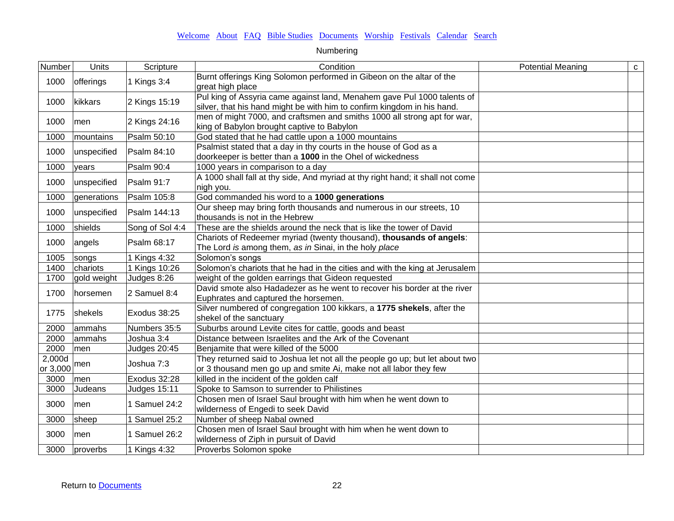| Number             | Units       | Scripture           | Condition                                                                                                                                          | <b>Potential Meaning</b> | $\mathbf{C}$ |
|--------------------|-------------|---------------------|----------------------------------------------------------------------------------------------------------------------------------------------------|--------------------------|--------------|
| 1000               | offerings   | 1 Kings 3:4         | Burnt offerings King Solomon performed in Gibeon on the altar of the<br>great high place                                                           |                          |              |
| 1000               | kikkars     | 2 Kings 15:19       | Pul king of Assyria came against land, Menahem gave Pul 1000 talents of<br>silver, that his hand might be with him to confirm kingdom in his hand. |                          |              |
| 1000               | men         | 2 Kings 24:16       | men of might 7000, and craftsmen and smiths 1000 all strong apt for war,<br>king of Babylon brought captive to Babylon                             |                          |              |
| 1000               | mountains   | Psalm 50:10         | God stated that he had cattle upon a 1000 mountains                                                                                                |                          |              |
| 1000               | unspecified | Psalm 84:10         | Psalmist stated that a day in thy courts in the house of God as a<br>doorkeeper is better than a 1000 in the Ohel of wickedness                    |                          |              |
| 1000               | years       | Psalm 90:4          | 1000 years in comparison to a day                                                                                                                  |                          |              |
| 1000               | unspecified | Psalm 91:7          | A 1000 shall fall at thy side, And myriad at thy right hand; it shall not come<br>nigh you.                                                        |                          |              |
| 1000               | generations | Psalm 105:8         | God commanded his word to a 1000 generations                                                                                                       |                          |              |
| 1000               | unspecified | Psalm 144:13        | Our sheep may bring forth thousands and numerous in our streets, 10<br>thousands is not in the Hebrew                                              |                          |              |
| 1000               | shields     | Song of Sol 4:4     | These are the shields around the neck that is like the tower of David                                                                              |                          |              |
| 1000               | angels      | Psalm 68:17         | Chariots of Redeemer myriad (twenty thousand), thousands of angels:<br>The Lord is among them, as in Sinai, in the holy place                      |                          |              |
| 1005               | songs       | 1 Kings 4:32        | Solomon's songs                                                                                                                                    |                          |              |
| 1400               | chariots    | 1 Kings 10:26       | Solomon's chariots that he had in the cities and with the king at Jerusalem                                                                        |                          |              |
| 1700               | gold weight | Judges 8:26         | weight of the golden earrings that Gideon requested                                                                                                |                          |              |
| 1700               | horsemen    | 2 Samuel 8:4        | David smote also Hadadezer as he went to recover his border at the river<br>Euphrates and captured the horsemen.                                   |                          |              |
| 1775               | shekels     | Exodus 38:25        | Silver numbered of congregation 100 kikkars, a 1775 shekels, after the<br>shekel of the sanctuary                                                  |                          |              |
| 2000               | ammahs      | Numbers 35:5        | Suburbs around Levite cites for cattle, goods and beast                                                                                            |                          |              |
| 2000               | ammahs      | Joshua 3:4          | Distance between Israelites and the Ark of the Covenant                                                                                            |                          |              |
| 2000               | men         | <b>Judges 20:45</b> | Benjamite that were killed of the 5000                                                                                                             |                          |              |
| 2,000d<br>or 3,000 | men         | Joshua 7:3          | They returned said to Joshua let not all the people go up; but let about two<br>or 3 thousand men go up and smite Ai, make not all labor they few  |                          |              |
| 3000               | men         | Exodus 32:28        | killed in the incident of the golden calf                                                                                                          |                          |              |
| 3000               | Judeans     | <b>Judges 15:11</b> | Spoke to Samson to surrender to Philistines                                                                                                        |                          |              |
| 3000               | men         | 1 Samuel 24:2       | Chosen men of Israel Saul brought with him when he went down to<br>wilderness of Engedi to seek David                                              |                          |              |
| 3000               | sheep       | 1 Samuel 25:2       | Number of sheep Nabal owned                                                                                                                        |                          |              |
| 3000               | men         | 1 Samuel 26:2       | Chosen men of Israel Saul brought with him when he went down to<br>wilderness of Ziph in pursuit of David                                          |                          |              |
| 3000               | proverbs    | 1 Kings 4:32        | Proverbs Solomon spoke                                                                                                                             |                          |              |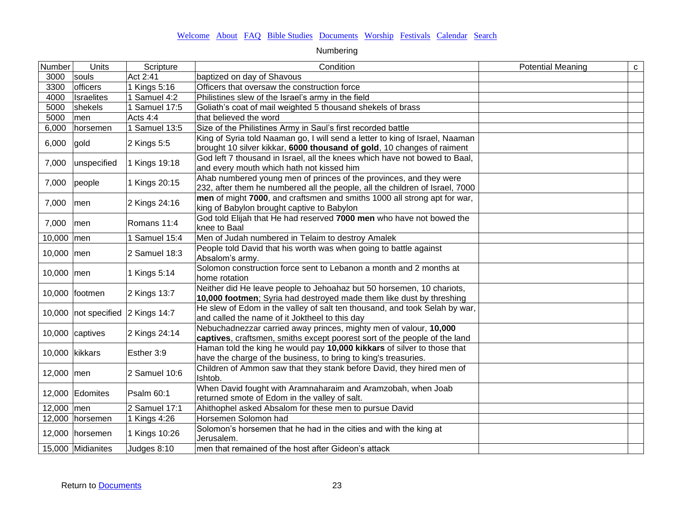| Number         | Units                             | Scripture                 | Condition                                                                    | <b>Potential Meaning</b> | $\mathtt{C}$ |
|----------------|-----------------------------------|---------------------------|------------------------------------------------------------------------------|--------------------------|--------------|
| 3000           | souls                             | Act 2:41                  | baptized on day of Shavous                                                   |                          |              |
| 3300           | officers                          | 1 Kings 5:16              | Officers that oversaw the construction force                                 |                          |              |
| 4000           | <b>Israelites</b>                 | $\overline{1}$ Samuel 4:2 | Philistines slew of the Israel's army in the field                           |                          |              |
| 5000           | shekels                           | 1 Samuel 17:5             | Goliath's coat of mail weighted 5 thousand shekels of brass                  |                          |              |
| 5000           | men                               | Acts 4:4                  | that believed the word                                                       |                          |              |
| 6,000          | horsemen                          | 1 Samuel 13:5             | Size of the Philistines Army in Saul's first recorded battle                 |                          |              |
|                |                                   |                           | King of Syria told Naaman go, I will send a letter to king of Israel, Naaman |                          |              |
| 6,000          | gold                              | 2 Kings 5:5               | brought 10 silver kikkar, 6000 thousand of gold, 10 changes of raiment       |                          |              |
| 7,000          | unspecified                       | 1 Kings 19:18             | God left 7 thousand in Israel, all the knees which have not bowed to Baal,   |                          |              |
|                |                                   |                           | and every mouth which hath not kissed him                                    |                          |              |
| 7,000          | people                            | 1 Kings 20:15             | Ahab numbered young men of princes of the provinces, and they were           |                          |              |
|                |                                   |                           | 232, after them he numbered all the people, all the children of Israel, 7000 |                          |              |
| 7,000          | men                               | 2 Kings 24:16             | men of might 7000, and craftsmen and smiths 1000 all strong apt for war,     |                          |              |
|                |                                   |                           | king of Babylon brought captive to Babylon                                   |                          |              |
| 7,000          | men                               | Romans 11:4               | God told Elijah that He had reserved 7000 men who have not bowed the         |                          |              |
|                |                                   |                           | knee to Baal                                                                 |                          |              |
| 10,000 men     |                                   | 1 Samuel 15:4             | Men of Judah numbered in Telaim to destroy Amalek                            |                          |              |
| 10,000 men     |                                   | 2 Samuel 18:3             | People told David that his worth was when going to battle against            |                          |              |
|                |                                   |                           | Absalom's army.                                                              |                          |              |
| 10,000 men     |                                   | 1 Kings 5:14              | Solomon construction force sent to Lebanon a month and 2 months at           |                          |              |
|                |                                   |                           | home rotation                                                                |                          |              |
|                | 10,000 footmen                    | 2 Kings 13:7              | Neither did He leave people to Jehoahaz but 50 horsemen, 10 chariots,        |                          |              |
|                |                                   |                           | 10,000 footmen; Syria had destroyed made them like dust by threshing         |                          |              |
|                | 10,000 not specified 2 Kings 14:7 |                           | He slew of Edom in the valley of salt ten thousand, and took Selah by war,   |                          |              |
|                |                                   |                           | and called the name of it Joktheel to this day                               |                          |              |
|                | 10,000 captives                   | 2 Kings 24:14             | Nebuchadnezzar carried away princes, mighty men of valour, 10,000            |                          |              |
|                |                                   |                           | captives, craftsmen, smiths except poorest sort of the people of the land    |                          |              |
| 10,000 kikkars |                                   | Esther 3:9                | Haman told the king he would pay 10,000 kikkars of silver to those that      |                          |              |
|                |                                   |                           | have the charge of the business, to bring to king's treasuries.              |                          |              |
| 12,000 men     |                                   | 2 Samuel 10:6             | Children of Ammon saw that they stank before David, they hired men of        |                          |              |
|                |                                   |                           | Ishtob.                                                                      |                          |              |
|                | 12,000 Edomites                   | Psalm 60:1                | When David fought with Aramnaharaim and Aramzobah, when Joab                 |                          |              |
|                |                                   |                           | returned smote of Edom in the valley of salt.                                |                          |              |
| 12,000 men     |                                   | 2 Samuel 17:1             | Ahithophel asked Absalom for these men to pursue David                       |                          |              |
|                | 12,000 horsemen                   | 1 Kings 4:26              | Horsemen Solomon had                                                         |                          |              |
|                | 12,000 horsemen                   | 1 Kings 10:26             | Solomon's horsemen that he had in the cities and with the king at            |                          |              |
|                |                                   |                           | Jerusalem.                                                                   |                          |              |
|                | 15,000 Midianites                 | Judges 8:10               | men that remained of the host after Gideon's attack                          |                          |              |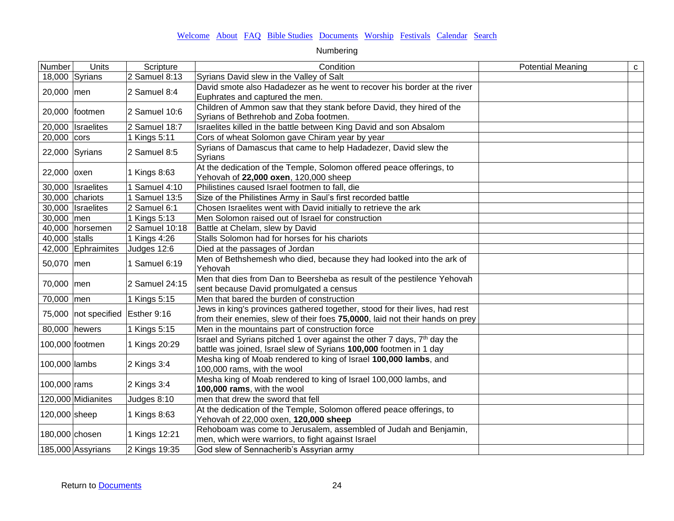| Number         | <b>Units</b>                         | Scripture                  | Condition                                                                                                                                                   | <b>Potential Meaning</b> | $\mathtt{C}$ |
|----------------|--------------------------------------|----------------------------|-------------------------------------------------------------------------------------------------------------------------------------------------------------|--------------------------|--------------|
|                | 18,000 Syrians                       | 2 Samuel 8:13              | Syrians David slew in the Valley of Salt                                                                                                                    |                          |              |
| 20,000 men     |                                      | 2 Samuel 8:4               | David smote also Hadadezer as he went to recover his border at the river<br>Euphrates and captured the men.                                                 |                          |              |
|                | 20,000 footmen                       | 2 Samuel 10:6              | Children of Ammon saw that they stank before David, they hired of the<br>Syrians of Bethrehob and Zoba footmen.                                             |                          |              |
|                | 20,000 Israelites                    | 2 Samuel 18:7              | Israelites killed in the battle between King David and son Absalom                                                                                          |                          |              |
| 20,000 cors    |                                      | 1 Kings 5:11               | Cors of wheat Solomon gave Chiram year by year                                                                                                              |                          |              |
|                | $22,000$ Syrians                     | 2 Samuel 8:5               | Syrians of Damascus that came to help Hadadezer, David slew the<br>Syrians                                                                                  |                          |              |
| 22,000 oxen    |                                      | 1 Kings 8:63               | At the dedication of the Temple, Solomon offered peace offerings, to<br>Yehovah of 22,000 oxen, 120,000 sheep                                               |                          |              |
|                | 30,000 Israelites                    | $\overline{1}$ Samuel 4:10 | Philistines caused Israel footmen to fall, die                                                                                                              |                          |              |
|                | 30,000 chariots                      | Samuel 13:5                | Size of the Philistines Army in Saul's first recorded battle                                                                                                |                          |              |
|                | 30,000   Israelites                  | 2 Samuel 6:1               | Chosen Israelites went with David initially to retrieve the ark                                                                                             |                          |              |
| 30,000 men     |                                      | 1 Kings 5:13               | Men Solomon raised out of Israel for construction                                                                                                           |                          |              |
|                | 40,000 horsemen                      | 2 Samuel 10:18             | Battle at Chelam, slew by David                                                                                                                             |                          |              |
| 40,000 stalls  |                                      | 1 Kings 4:26               | Stalls Solomon had for horses for his chariots                                                                                                              |                          |              |
|                | 42,000 Ephraimites                   | Judges 12:6                | Died at the passages of Jordan                                                                                                                              |                          |              |
| 50,070 men     |                                      | 1 Samuel 6:19              | Men of Bethshemesh who died, because they had looked into the ark of<br>Yehovah                                                                             |                          |              |
| 70,000 men     |                                      | 2 Samuel 24:15             | Men that dies from Dan to Beersheba as result of the pestilence Yehovah<br>sent because David promulgated a census                                          |                          |              |
| 70,000 men     |                                      | 1 Kings 5:15               | Men that bared the burden of construction                                                                                                                   |                          |              |
|                | 75,000   not specified   Esther 9:16 |                            | Jews in king's provinces gathered together, stood for their lives, had rest<br>from their enemies, slew of their foes 75,0000, laid not their hands on prey |                          |              |
| 80,000 hewers  |                                      | 1 Kings 5:15               | Men in the mountains part of construction force                                                                                                             |                          |              |
|                | 100,000 footmen                      | 1 Kings 20:29              | Israel and Syrians pitched 1 over against the other 7 days, 7 <sup>th</sup> day the<br>battle was joined, Israel slew of Syrians 100,000 footmen in 1 day   |                          |              |
| 100,000 lambs  |                                      | 2 Kings 3:4                | Mesha king of Moab rendered to king of Israel 100,000 lambs, and<br>100,000 rams, with the wool                                                             |                          |              |
| $100,000$ rams |                                      | 2 Kings 3:4                | Mesha king of Moab rendered to king of Israel 100,000 lambs, and<br>100,000 rams, with the wool                                                             |                          |              |
|                | 120,000 Midianites                   | Judges 8:10                | men that drew the sword that fell                                                                                                                           |                          |              |
| 120,000 sheep  |                                      | 1 Kings 8:63               | At the dedication of the Temple, Solomon offered peace offerings, to<br>Yehovah of 22,000 oxen, 120,000 sheep                                               |                          |              |
| 180,000 chosen |                                      | 1 Kings 12:21              | Rehoboam was come to Jerusalem, assembled of Judah and Benjamin,<br>men, which were warriors, to fight against Israel                                       |                          |              |
|                | 185,000 Assyrians                    | 2 Kings 19:35              | God slew of Sennacherib's Assyrian army                                                                                                                     |                          |              |